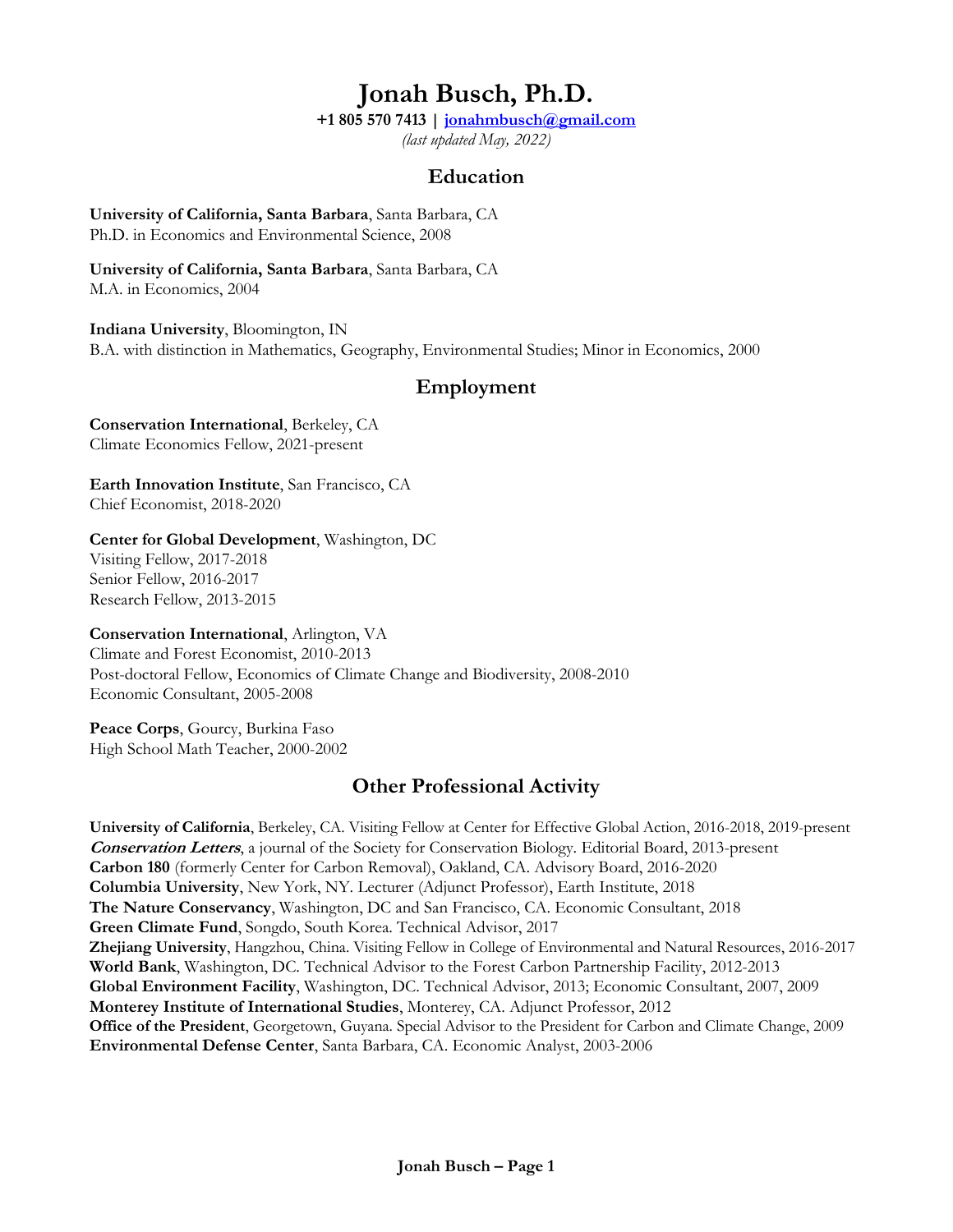# **Jonah Busch, Ph.D.**

**+1 805 570 7413 | jonahmbusch@gmail.com**

*(last updated May, 2022)*

## **Education**

**University of California, Santa Barbara**, Santa Barbara, CA Ph.D. in Economics and Environmental Science, 2008

**University of California, Santa Barbara**, Santa Barbara, CA M.A. in Economics, 2004

**Indiana University**, Bloomington, IN B.A. with distinction in Mathematics, Geography, Environmental Studies; Minor in Economics, 2000

## **Employment**

**Conservation International**, Berkeley, CA Climate Economics Fellow, 2021-present

**Earth Innovation Institute**, San Francisco, CA Chief Economist, 2018-2020

### **Center for Global Development**, Washington, DC Visiting Fellow, 2017-2018

Senior Fellow, 2016-2017 Research Fellow, 2013-2015

**Conservation International**, Arlington, VA Climate and Forest Economist, 2010-2013 Post-doctoral Fellow, Economics of Climate Change and Biodiversity, 2008-2010 Economic Consultant, 2005-2008

**Peace Corps**, Gourcy, Burkina Faso High School Math Teacher, 2000-2002

## **Other Professional Activity**

**University of California**, Berkeley, CA. Visiting Fellow at Center for Effective Global Action, 2016-2018, 2019-present **Conservation Letters**, a journal of the Society for Conservation Biology. Editorial Board, 2013-present **Carbon 180** (formerly Center for Carbon Removal), Oakland, CA. Advisory Board, 2016-2020 **Columbia University**, New York, NY. Lecturer (Adjunct Professor), Earth Institute, 2018 **The Nature Conservancy**, Washington, DC and San Francisco, CA. Economic Consultant, 2018 **Green Climate Fund**, Songdo, South Korea. Technical Advisor, 2017 **Zhejiang University**, Hangzhou, China. Visiting Fellow in College of Environmental and Natural Resources, 2016-2017 **World Bank**, Washington, DC. Technical Advisor to the Forest Carbon Partnership Facility, 2012-2013 **Global Environment Facility**, Washington, DC. Technical Advisor, 2013; Economic Consultant, 2007, 2009 **Monterey Institute of International Studies**, Monterey, CA. Adjunct Professor, 2012 **Office of the President**, Georgetown, Guyana. Special Advisor to the President for Carbon and Climate Change, 2009 **Environmental Defense Center**, Santa Barbara, CA. Economic Analyst, 2003-2006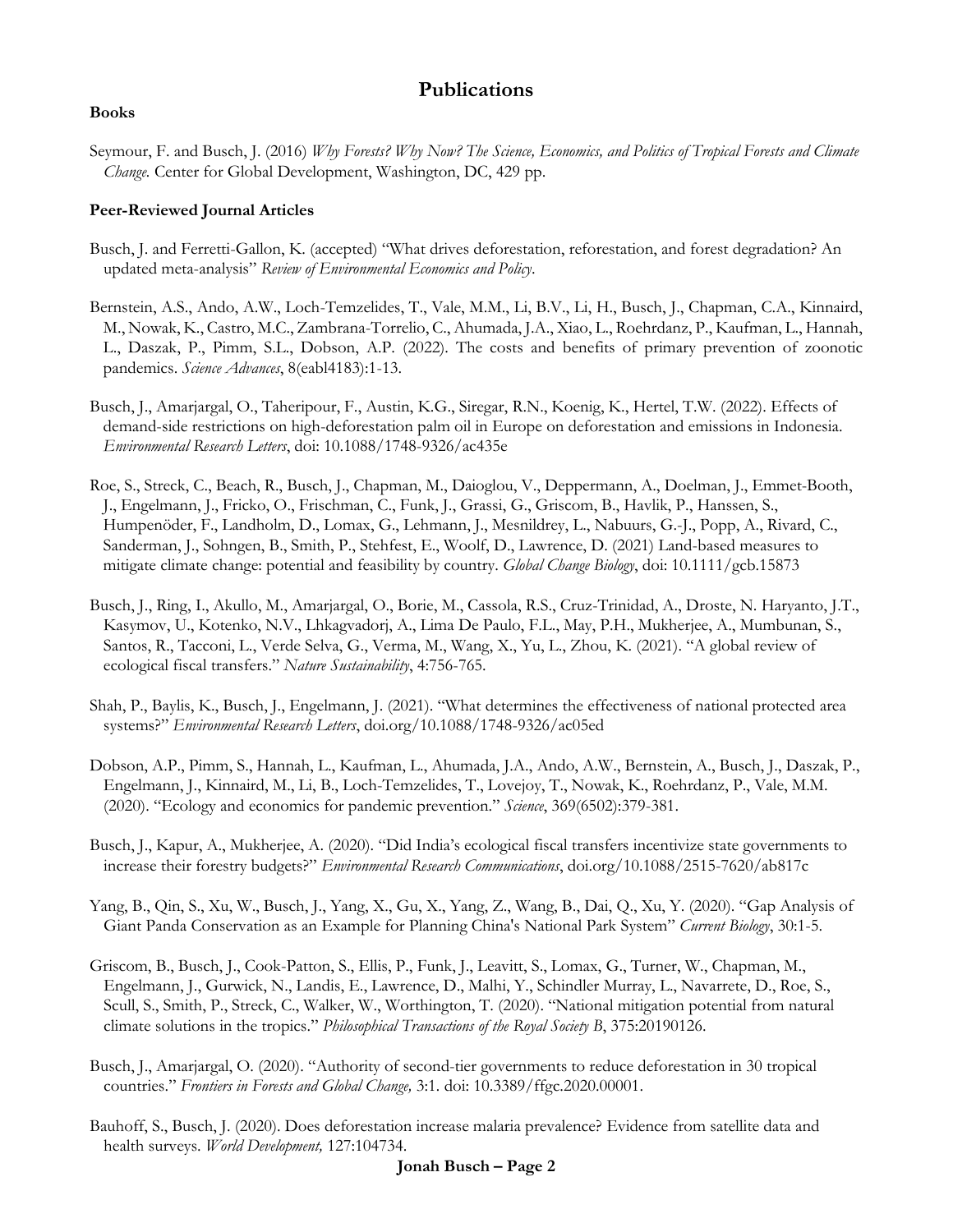## **Publications**

#### **Books**

Seymour, F. and Busch, J. (2016) *Why Forests? Why Now? The Science, Economics, and Politics of Tropical Forests and Climate Change.* Center for Global Development, Washington, DC, 429 pp.

#### **Peer-Reviewed Journal Articles**

- Busch, J. and Ferretti-Gallon, K. (accepted) "What drives deforestation, reforestation, and forest degradation? An updated meta-analysis" *Review of Environmental Economics and Policy*.
- Bernstein, A.S., Ando, A.W., Loch-Temzelides, T., Vale, M.M., Li, B.V., Li, H., Busch, J., Chapman, C.A., Kinnaird, M., Nowak, K., Castro, M.C., Zambrana-Torrelio, C., Ahumada, J.A., Xiao, L., Roehrdanz, P., Kaufman, L., Hannah, L., Daszak, P., Pimm, S.L., Dobson, A.P. (2022). The costs and benefits of primary prevention of zoonotic pandemics. *Science Advances*, 8(eabl4183):1-13.
- Busch, J., Amarjargal, O., Taheripour, F., Austin, K.G., Siregar, R.N., Koenig, K., Hertel, T.W. (2022). Effects of demand-side restrictions on high-deforestation palm oil in Europe on deforestation and emissions in Indonesia. *Environmental Research Letters*, doi: 10.1088/1748-9326/ac435e
- Roe, S., Streck, C., Beach, R., Busch, J., Chapman, M., Daioglou, V., Deppermann, A., Doelman, J., Emmet-Booth, J., Engelmann, J., Fricko, O., Frischman, C., Funk, J., Grassi, G., Griscom, B., Havlik, P., Hanssen, S., Humpenöder, F., Landholm, D., Lomax, G., Lehmann, J., Mesnildrey, L., Nabuurs, G.-J., Popp, A., Rivard, C., Sanderman, J., Sohngen, B., Smith, P., Stehfest, E., Woolf, D., Lawrence, D. (2021) Land-based measures to mitigate climate change: potential and feasibility by country. *Global Change Biology*, doi: 10.1111/gcb.15873
- Busch, J., Ring, I., Akullo, M., Amarjargal, O., Borie, M., Cassola, R.S., Cruz-Trinidad, A., Droste, N. Haryanto, J.T., Kasymov, U., Kotenko, N.V., Lhkagvadorj, A., Lima De Paulo, F.L., May, P.H., Mukherjee, A., Mumbunan, S., Santos, R., Tacconi, L., Verde Selva, G., Verma, M., Wang, X., Yu, L., Zhou, K. (2021). "A global review of ecological fiscal transfers." *Nature Sustainability*, 4:756-765.
- Shah, P., Baylis, K., Busch, J., Engelmann, J. (2021). "What determines the effectiveness of national protected area systems?" *Environmental Research Letters*, doi.org/10.1088/1748-9326/ac05ed
- Dobson, A.P., Pimm, S., Hannah, L., Kaufman, L., Ahumada, J.A., Ando, A.W., Bernstein, A., Busch, J., Daszak, P., Engelmann, J., Kinnaird, M., Li, B., Loch-Temzelides, T., Lovejoy, T., Nowak, K., Roehrdanz, P., Vale, M.M. (2020). "Ecology and economics for pandemic prevention." *Science*, 369(6502):379-381.
- Busch, J., Kapur, A., Mukherjee, A. (2020). "Did India's ecological fiscal transfers incentivize state governments to increase their forestry budgets?" *Environmental Research Communications*, doi.org/10.1088/2515-7620/ab817c
- Yang, B., Qin, S., Xu, W., Busch, J., Yang, X., Gu, X., Yang, Z., Wang, B., Dai, Q., Xu, Y. (2020). "Gap Analysis of Giant Panda Conservation as an Example for Planning China's National Park System" *Current Biology*, 30:1-5.
- Griscom, B., Busch, J., Cook-Patton, S., Ellis, P., Funk, J., Leavitt, S., Lomax, G., Turner, W., Chapman, M., Engelmann, J., Gurwick, N., Landis, E., Lawrence, D., Malhi, Y., Schindler Murray, L., Navarrete, D., Roe, S., Scull, S., Smith, P., Streck, C., Walker, W., Worthington, T. (2020). "National mitigation potential from natural climate solutions in the tropics." *Philosophical Transactions of the Royal Society B*, 375:20190126.
- Busch, J., Amarjargal, O. (2020). "Authority of second-tier governments to reduce deforestation in 30 tropical countries." *Frontiers in Forests and Global Change,* 3:1*.* doi: 10.3389/ffgc.2020.00001.
- Bauhoff, S., Busch, J. (2020). Does deforestation increase malaria prevalence? Evidence from satellite data and health surveys. *World Development,* 127:104734.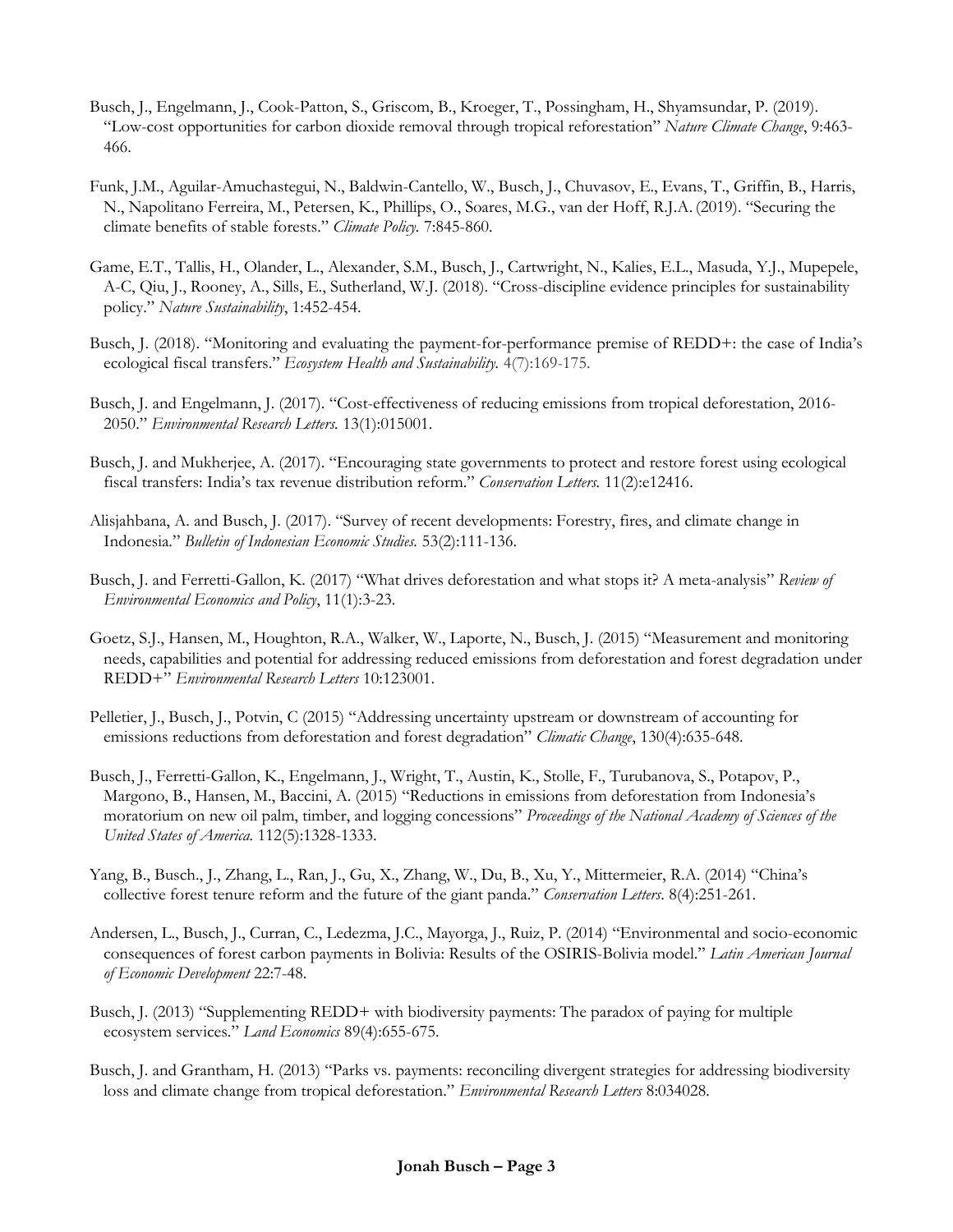- Busch, J., Engelmann, J., Cook-Patton, S., Griscom, B., Kroeger, T., Possingham, H., Shyamsundar, P. (2019). "Low-cost opportunities for carbon dioxide removal through tropical reforestation" *Nature Climate Change*, 9:463- 466.
- Funk, J.M., Aguilar-Amuchastegui, N., Baldwin-Cantello, W., Busch, J., Chuvasov, E., Evans, T., Griffin, B., Harris, N., Napolitano Ferreira, M., Petersen, K., Phillips, O., Soares, M.G., van der Hoff, R.J.A. (2019). "Securing the climate benefits of stable forests." *Climate Policy.* 7:845-860.
- Game, E.T., Tallis, H., Olander, L., Alexander, S.M., Busch, J., Cartwright, N., Kalies, E.L., Masuda, Y.J., Mupepele, A-C, Qiu, J., Rooney, A., Sills, E., Sutherland, W.J. (2018). "Cross-discipline evidence principles for sustainability policy." *Nature Sustainability*, 1:452-454.
- Busch, J. (2018). "Monitoring and evaluating the payment-for-performance premise of REDD+: the case of India's ecological fiscal transfers." *Ecosystem Health and Sustainability.* 4(7):169-175.
- Busch, J. and Engelmann, J. (2017). "Cost-effectiveness of reducing emissions from tropical deforestation, 2016- 2050." *Environmental Research Letters.* 13(1):015001.
- Busch, J. and Mukherjee, A. (2017). "Encouraging state governments to protect and restore forest using ecological fiscal transfers: India's tax revenue distribution reform." *Conservation Letters.* 11(2):e12416.
- Alisjahbana, A. and Busch, J. (2017). "Survey of recent developments: Forestry, fires, and climate change in Indonesia." *Bulletin of Indonesian Economic Studies.* 53(2):111-136.
- Busch, J. and Ferretti-Gallon, K. (2017) "What drives deforestation and what stops it? A meta-analysis" *Review of Environmental Economics and Policy*, 11(1):3-23.
- Goetz, S.J., Hansen, M., Houghton, R.A., Walker, W., Laporte, N., Busch, J. (2015) "Measurement and monitoring needs, capabilities and potential for addressing reduced emissions from deforestation and forest degradation under REDD+" *Environmental Research Letters* 10:123001.
- Pelletier, J., Busch, J., Potvin, C (2015) "Addressing uncertainty upstream or downstream of accounting for emissions reductions from deforestation and forest degradation" *Climatic Change*, 130(4):635-648.
- Busch, J., Ferretti-Gallon, K., Engelmann, J., Wright, T., Austin, K., Stolle, F., Turubanova, S., Potapov, P., Margono, B., Hansen, M., Baccini, A. (2015) "Reductions in emissions from deforestation from Indonesia's moratorium on new oil palm, timber, and logging concessions" *Proceedings of the National Academy of Sciences of the United States of America.* 112(5):1328-1333.
- Yang, B., Busch., J., Zhang, L., Ran, J., Gu, X., Zhang, W., Du, B., Xu, Y., Mittermeier, R.A. (2014) "China's collective forest tenure reform and the future of the giant panda." *Conservation Letters*. 8(4):251-261.
- Andersen, L., Busch, J., Curran, C., Ledezma, J.C., Mayorga, J., Ruiz, P. (2014) "Environmental and socio-economic consequences of forest carbon payments in Bolivia: Results of the OSIRIS-Bolivia model." *Latin American Journal of Economic Development* 22:7-48.
- Busch, J. (2013) "Supplementing REDD+ with biodiversity payments: The paradox of paying for multiple ecosystem services." *Land Economics* 89(4):655-675.
- Busch, J. and Grantham, H. (2013) "Parks vs. payments: reconciling divergent strategies for addressing biodiversity loss and climate change from tropical deforestation." *Environmental Research Letters* 8:034028*.*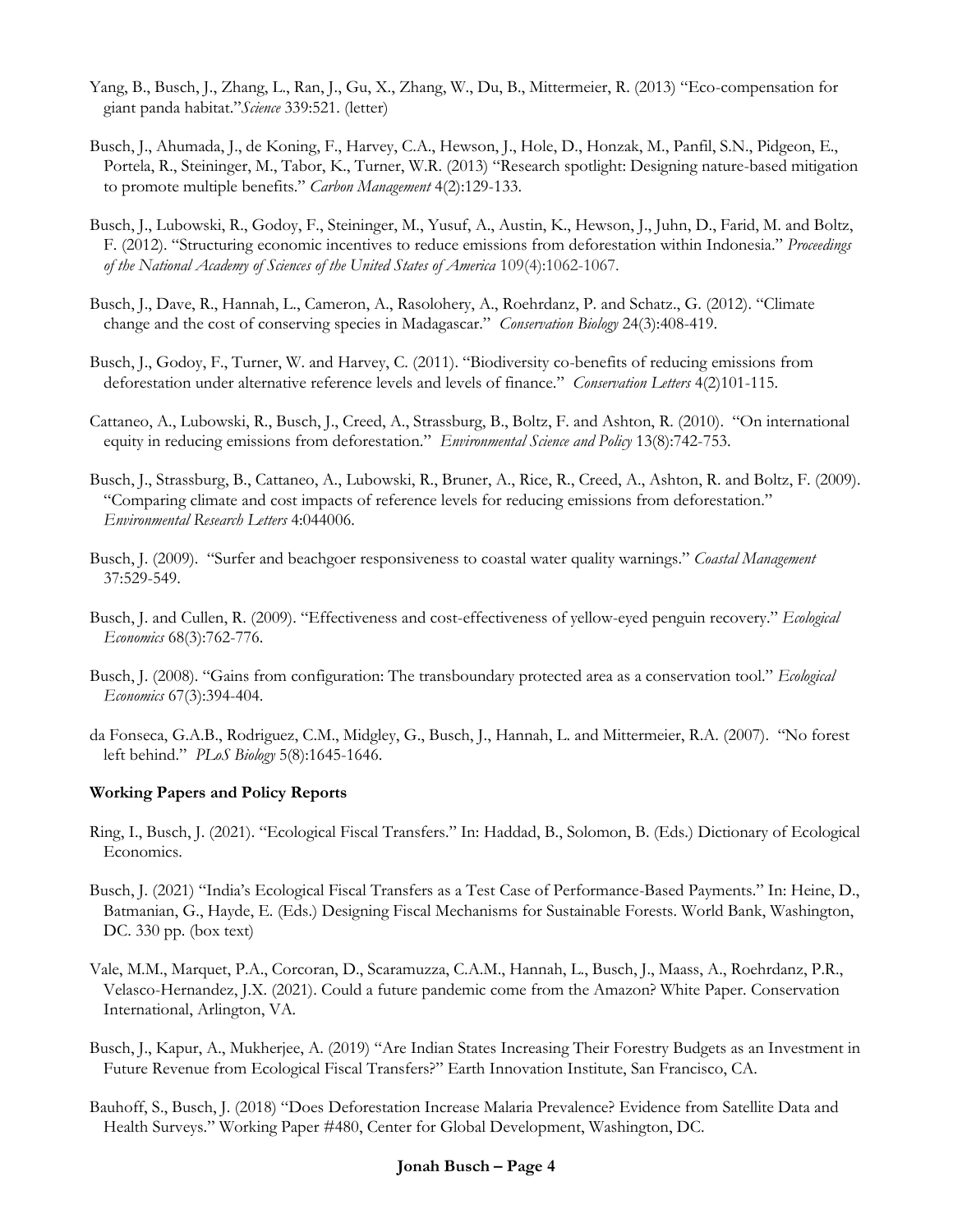- Yang, B., Busch, J., Zhang, L., Ran, J., Gu, X., Zhang, W., Du, B., Mittermeier, R. (2013) "Eco-compensation for giant panda habitat."*Science* 339:521. (letter)
- Busch, J., Ahumada, J., de Koning, F., Harvey, C.A., Hewson, J., Hole, D., Honzak, M., Panfil, S.N., Pidgeon, E., Portela, R., Steininger, M., Tabor, K., Turner, W.R. (2013) "Research spotlight: Designing nature-based mitigation to promote multiple benefits." *Carbon Management* 4(2):129-133.
- Busch, J., Lubowski, R., Godoy, F., Steininger, M., Yusuf, A., Austin, K., Hewson, J., Juhn, D., Farid, M. and Boltz, F. (2012). "Structuring economic incentives to reduce emissions from deforestation within Indonesia." *Proceedings of the National Academy of Sciences of the United States of America* 109(4):1062-1067.
- Busch, J., Dave, R., Hannah, L., Cameron, A., Rasolohery, A., Roehrdanz, P. and Schatz., G. (2012). "Climate change and the cost of conserving species in Madagascar." *Conservation Biology* 24(3):408-419.
- Busch, J., Godoy, F., Turner, W. and Harvey, C. (2011). "Biodiversity co-benefits of reducing emissions from deforestation under alternative reference levels and levels of finance." *Conservation Letters* 4(2)101-115.
- Cattaneo, A., Lubowski, R., Busch, J., Creed, A., Strassburg, B., Boltz, F. and Ashton, R. (2010). "On international equity in reducing emissions from deforestation." *Environmental Science and Policy* 13(8):742-753.
- Busch, J., Strassburg, B., Cattaneo, A., Lubowski, R., Bruner, A., Rice, R., Creed, A., Ashton, R. and Boltz, F. (2009). "Comparing climate and cost impacts of reference levels for reducing emissions from deforestation." *Environmental Research Letters* 4:044006.
- Busch, J. (2009). "Surfer and beachgoer responsiveness to coastal water quality warnings." *Coastal Management*  37:529-549.
- Busch, J. and Cullen, R. (2009). "Effectiveness and cost-effectiveness of yellow-eyed penguin recovery." *Ecological Economics* 68(3):762-776.
- Busch, J. (2008). "Gains from configuration: The transboundary protected area as a conservation tool." *Ecological Economics* 67(3):394-404.
- da Fonseca, G.A.B., Rodriguez, C.M., Midgley, G., Busch, J., Hannah, L. and Mittermeier, R.A. (2007). "No forest left behind." *PLoS Biology* 5(8):1645-1646.

#### **Working Papers and Policy Reports**

- Ring, I., Busch, J. (2021). "Ecological Fiscal Transfers." In: Haddad, B., Solomon, B. (Eds.) Dictionary of Ecological Economics.
- Busch, J. (2021) "India's Ecological Fiscal Transfers as a Test Case of Performance-Based Payments." In: Heine, D., Batmanian, G., Hayde, E. (Eds.) Designing Fiscal Mechanisms for Sustainable Forests. World Bank, Washington, DC. 330 pp. (box text)
- Vale, M.M., Marquet, P.A., Corcoran, D., Scaramuzza, C.A.M., Hannah, L., Busch, J., Maass, A., Roehrdanz, P.R., Velasco-Hernandez, J.X. (2021). Could a future pandemic come from the Amazon? White Paper. Conservation International, Arlington, VA.
- Busch, J., Kapur, A., Mukherjee, A. (2019) "Are Indian States Increasing Their Forestry Budgets as an Investment in Future Revenue from Ecological Fiscal Transfers?" Earth Innovation Institute, San Francisco, CA.
- Bauhoff, S., Busch, J. (2018) "Does Deforestation Increase Malaria Prevalence? Evidence from Satellite Data and Health Surveys." Working Paper #480, Center for Global Development, Washington, DC.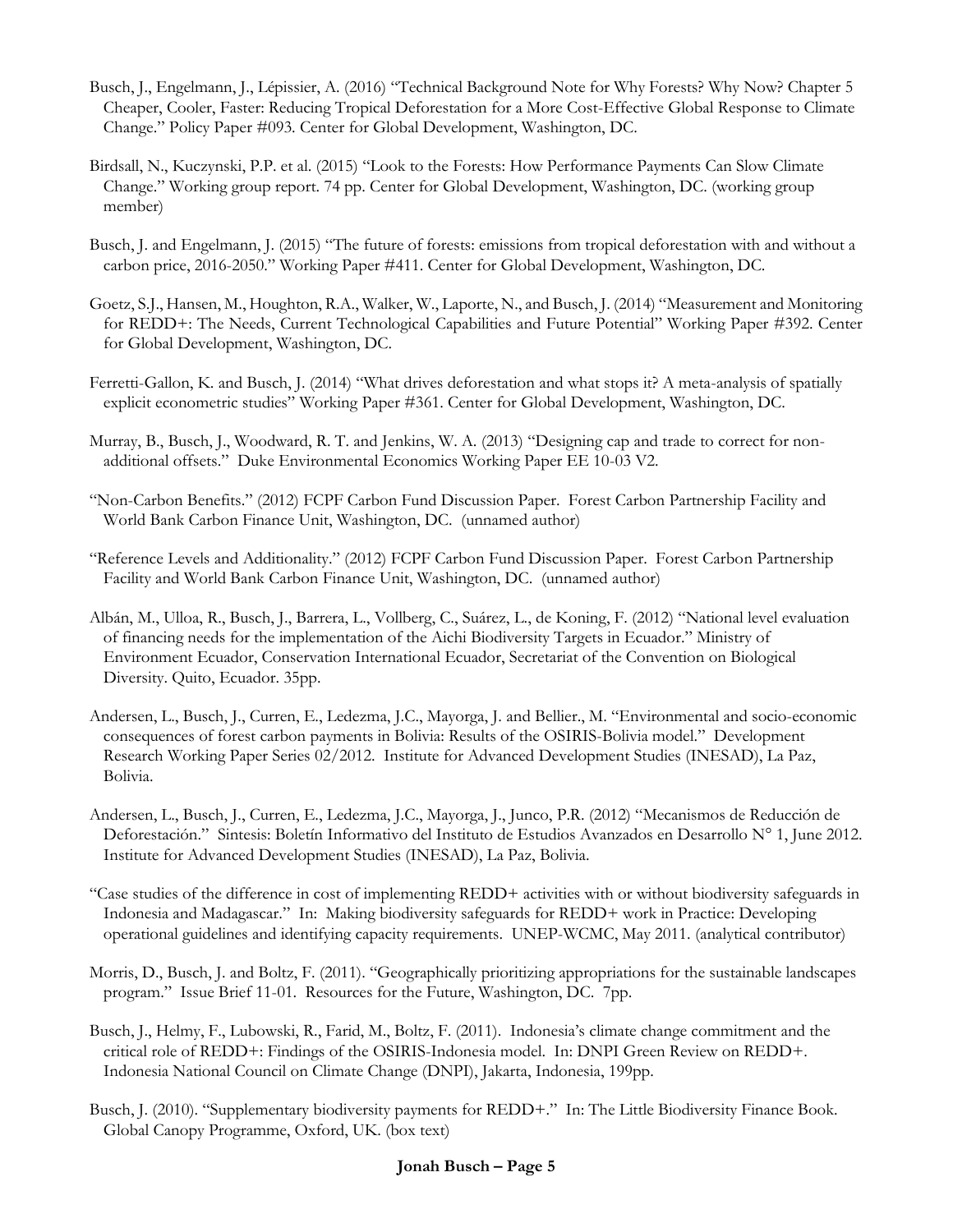- Busch, J., Engelmann, J., Lépissier, A. (2016) "Technical Background Note for Why Forests? Why Now? Chapter 5 Cheaper, Cooler, Faster: Reducing Tropical Deforestation for a More Cost-Effective Global Response to Climate Change." Policy Paper #093. Center for Global Development, Washington, DC.
- Birdsall, N., Kuczynski, P.P. et al. (2015) "Look to the Forests: How Performance Payments Can Slow Climate Change." Working group report. 74 pp. Center for Global Development, Washington, DC. (working group member)
- Busch, J. and Engelmann, J. (2015) "The future of forests: emissions from tropical deforestation with and without a carbon price, 2016-2050." Working Paper #411. Center for Global Development, Washington, DC.
- Goetz, S.J., Hansen, M., Houghton, R.A., Walker, W., Laporte, N., and Busch, J. (2014) "Measurement and Monitoring for REDD+: The Needs, Current Technological Capabilities and Future Potential" Working Paper #392. Center for Global Development, Washington, DC.
- Ferretti-Gallon, K. and Busch, J. (2014) "What drives deforestation and what stops it? A meta-analysis of spatially explicit econometric studies" Working Paper #361. Center for Global Development, Washington, DC.
- Murray, B., Busch, J., Woodward, R. T. and Jenkins, W. A. (2013) "Designing cap and trade to correct for nonadditional offsets." Duke Environmental Economics Working Paper EE 10-03 V2.
- "Non-Carbon Benefits." (2012) FCPF Carbon Fund Discussion Paper. Forest Carbon Partnership Facility and World Bank Carbon Finance Unit, Washington, DC. (unnamed author)
- "Reference Levels and Additionality." (2012) FCPF Carbon Fund Discussion Paper. Forest Carbon Partnership Facility and World Bank Carbon Finance Unit, Washington, DC. (unnamed author)
- Albán, M., Ulloa, R., Busch, J., Barrera, L., Vollberg, C., Suárez, L., de Koning, F. (2012) "National level evaluation of financing needs for the implementation of the Aichi Biodiversity Targets in Ecuador." Ministry of Environment Ecuador, Conservation International Ecuador, Secretariat of the Convention on Biological Diversity. Quito, Ecuador. 35pp.
- Andersen, L., Busch, J., Curren, E., Ledezma, J.C., Mayorga, J. and Bellier., M. "Environmental and socio-economic consequences of forest carbon payments in Bolivia: Results of the OSIRIS-Bolivia model." Development Research Working Paper Series 02/2012. Institute for Advanced Development Studies (INESAD), La Paz, Bolivia.
- Andersen, L., Busch, J., Curren, E., Ledezma, J.C., Mayorga, J., Junco, P.R. (2012) "Mecanismos de Reducción de Deforestación." Sintesis: Boletín Informativo del Instituto de Estudios Avanzados en Desarrollo N° 1, June 2012. Institute for Advanced Development Studies (INESAD), La Paz, Bolivia.
- "Case studies of the difference in cost of implementing REDD+ activities with or without biodiversity safeguards in Indonesia and Madagascar." In: Making biodiversity safeguards for REDD+ work in Practice: Developing operational guidelines and identifying capacity requirements. UNEP-WCMC, May 2011. (analytical contributor)
- Morris, D., Busch, J. and Boltz, F. (2011). "Geographically prioritizing appropriations for the sustainable landscapes program." Issue Brief 11-01. Resources for the Future, Washington, DC. 7pp.
- Busch, J., Helmy, F., Lubowski, R., Farid, M., Boltz, F. (2011). Indonesia's climate change commitment and the critical role of REDD+: Findings of the OSIRIS-Indonesia model. In: DNPI Green Review on REDD+. Indonesia National Council on Climate Change (DNPI), Jakarta, Indonesia, 199pp.
- Busch, J. (2010). "Supplementary biodiversity payments for REDD+." In: The Little Biodiversity Finance Book. Global Canopy Programme, Oxford, UK. (box text)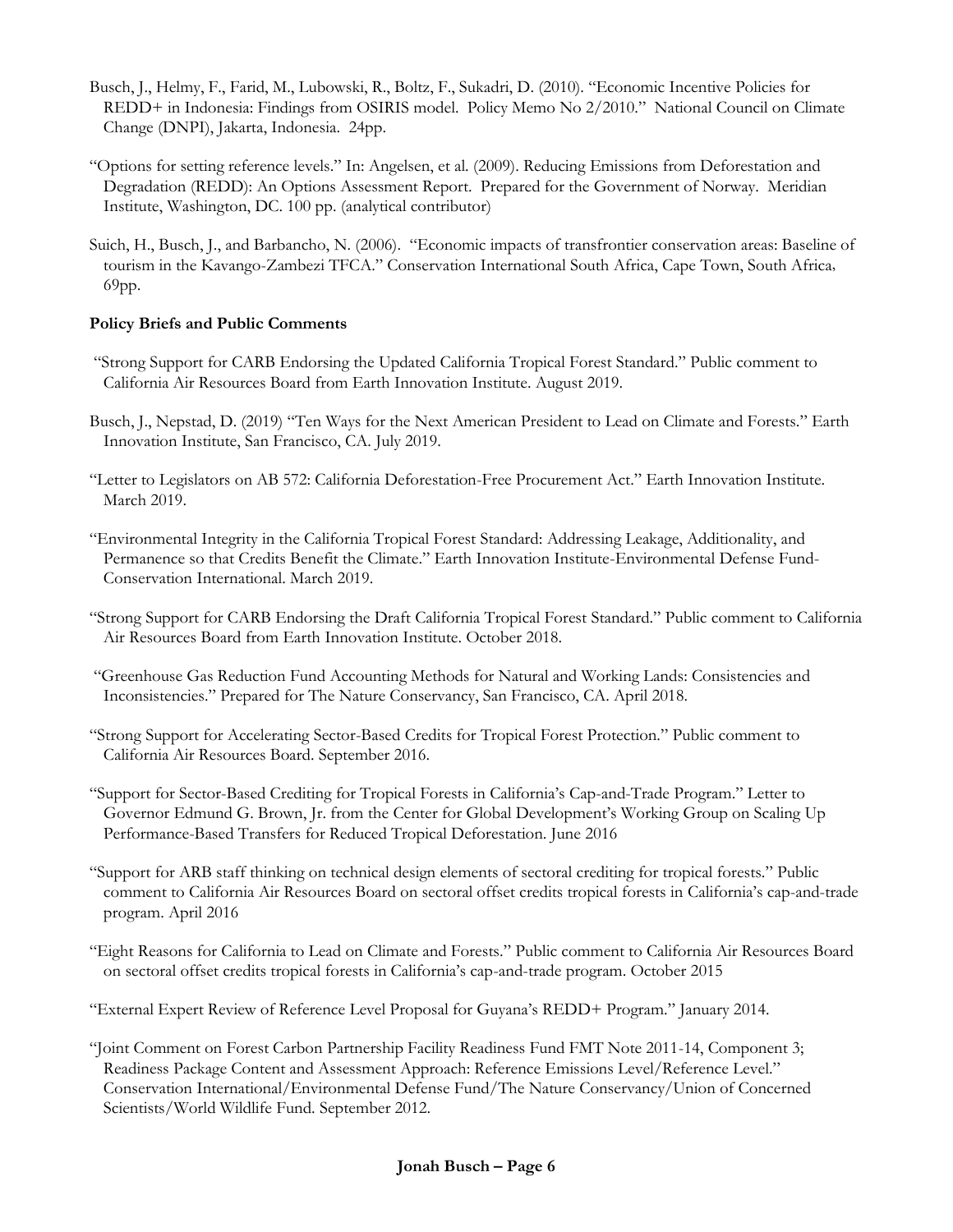- Busch, J., Helmy, F., Farid, M., Lubowski, R., Boltz, F., Sukadri, D. (2010). "Economic Incentive Policies for REDD+ in Indonesia: Findings from OSIRIS model. Policy Memo No 2/2010." National Council on Climate Change (DNPI), Jakarta, Indonesia. 24pp.
- "Options for setting reference levels." In: Angelsen, et al. (2009). Reducing Emissions from Deforestation and Degradation (REDD): An Options Assessment Report. Prepared for the Government of Norway. Meridian Institute, Washington, DC. 100 pp. (analytical contributor)
- Suich, H., Busch, J., and Barbancho, N. (2006). "Economic impacts of transfrontier conservation areas: Baseline of tourism in the Kavango-Zambezi TFCA." Conservation International South Africa, Cape Town, South Africa, 69pp.

#### **Policy Briefs and Public Comments**

- "Strong Support for CARB Endorsing the Updated California Tropical Forest Standard." Public comment to California Air Resources Board from Earth Innovation Institute. August 2019.
- Busch, J., Nepstad, D. (2019) "Ten Ways for the Next American President to Lead on Climate and Forests." Earth Innovation Institute, San Francisco, CA. July 2019.
- "Letter to Legislators on AB 572: California Deforestation-Free Procurement Act." Earth Innovation Institute. March 2019.
- "Environmental Integrity in the California Tropical Forest Standard: Addressing Leakage, Additionality, and Permanence so that Credits Benefit the Climate." Earth Innovation Institute-Environmental Defense Fund-Conservation International. March 2019.
- "Strong Support for CARB Endorsing the Draft California Tropical Forest Standard." Public comment to California Air Resources Board from Earth Innovation Institute. October 2018.
- "Greenhouse Gas Reduction Fund Accounting Methods for Natural and Working Lands: Consistencies and Inconsistencies." Prepared for The Nature Conservancy, San Francisco, CA. April 2018.
- "Strong Support for Accelerating Sector-Based Credits for Tropical Forest Protection." Public comment to California Air Resources Board. September 2016.
- "Support for Sector-Based Crediting for Tropical Forests in California's Cap-and-Trade Program." Letter to Governor Edmund G. Brown, Jr. from the Center for Global Development's Working Group on Scaling Up Performance-Based Transfers for Reduced Tropical Deforestation. June 2016
- "Support for ARB staff thinking on technical design elements of sectoral crediting for tropical forests." Public comment to California Air Resources Board on sectoral offset credits tropical forests in California's cap-and-trade program. April 2016
- "Eight Reasons for California to Lead on Climate and Forests." Public comment to California Air Resources Board on sectoral offset credits tropical forests in California's cap-and-trade program. October 2015
- "External Expert Review of Reference Level Proposal for Guyana's REDD+ Program." January 2014.
- "Joint Comment on Forest Carbon Partnership Facility Readiness Fund FMT Note 2011-14, Component 3; Readiness Package Content and Assessment Approach: Reference Emissions Level/Reference Level." Conservation International/Environmental Defense Fund/The Nature Conservancy/Union of Concerned Scientists/World Wildlife Fund. September 2012.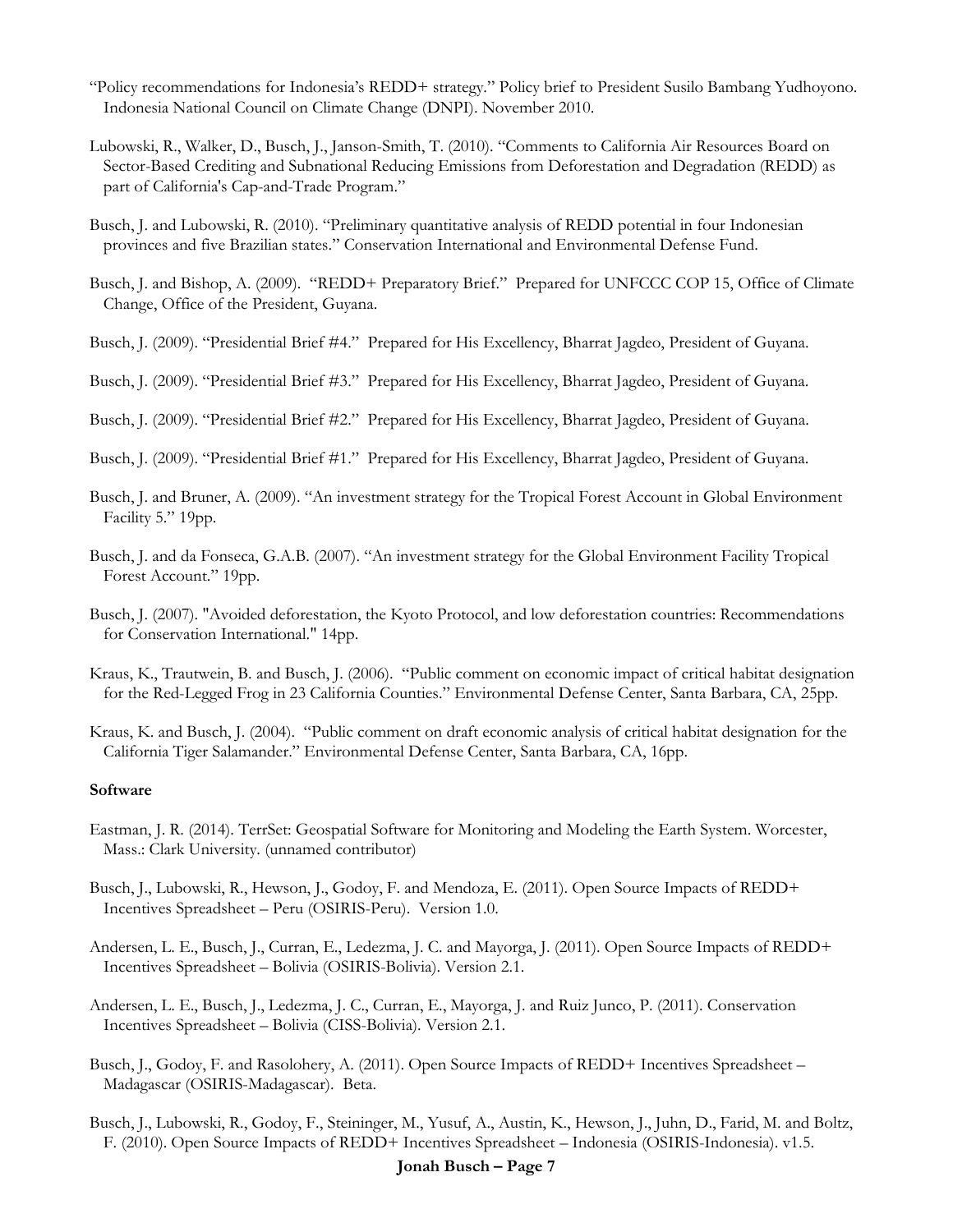- "Policy recommendations for Indonesia's REDD+ strategy." Policy brief to President Susilo Bambang Yudhoyono. Indonesia National Council on Climate Change (DNPI). November 2010.
- Lubowski, R., Walker, D., Busch, J., Janson-Smith, T. (2010). "Comments to California Air Resources Board on Sector-Based Crediting and Subnational Reducing Emissions from Deforestation and Degradation (REDD) as part of California's Cap-and-Trade Program."
- Busch, J. and Lubowski, R. (2010). "Preliminary quantitative analysis of REDD potential in four Indonesian provinces and five Brazilian states." Conservation International and Environmental Defense Fund.
- Busch, J. and Bishop, A. (2009). "REDD+ Preparatory Brief." Prepared for UNFCCC COP 15, Office of Climate Change, Office of the President, Guyana.
- Busch, J. (2009). "Presidential Brief #4." Prepared for His Excellency, Bharrat Jagdeo, President of Guyana.
- Busch, J. (2009). "Presidential Brief #3." Prepared for His Excellency, Bharrat Jagdeo, President of Guyana.
- Busch, J. (2009). "Presidential Brief #2." Prepared for His Excellency, Bharrat Jagdeo, President of Guyana.
- Busch, J. (2009). "Presidential Brief #1." Prepared for His Excellency, Bharrat Jagdeo, President of Guyana.
- Busch, J. and Bruner, A. (2009). "An investment strategy for the Tropical Forest Account in Global Environment Facility 5." 19pp.
- Busch, J. and da Fonseca, G.A.B. (2007). "An investment strategy for the Global Environment Facility Tropical Forest Account." 19pp.
- Busch, J. (2007). "Avoided deforestation, the Kyoto Protocol, and low deforestation countries: Recommendations for Conservation International." 14pp.
- Kraus, K., Trautwein, B. and Busch, J. (2006). "Public comment on economic impact of critical habitat designation for the Red-Legged Frog in 23 California Counties." Environmental Defense Center, Santa Barbara, CA, 25pp.
- Kraus, K. and Busch, J. (2004). "Public comment on draft economic analysis of critical habitat designation for the California Tiger Salamander." Environmental Defense Center, Santa Barbara, CA, 16pp.

#### **Software**

- Eastman, J. R. (2014). TerrSet: Geospatial Software for Monitoring and Modeling the Earth System. Worcester, Mass.: Clark University. (unnamed contributor)
- Busch, J., Lubowski, R., Hewson, J., Godoy, F. and Mendoza, E. (2011). Open Source Impacts of REDD+ Incentives Spreadsheet – Peru (OSIRIS-Peru). Version 1.0.
- Andersen, L. E., Busch, J., Curran, E., Ledezma, J. C. and Mayorga, J. (2011). Open Source Impacts of REDD+ Incentives Spreadsheet – Bolivia (OSIRIS-Bolivia). Version 2.1.
- Andersen, L. E., Busch, J., Ledezma, J. C., Curran, E., Mayorga, J. and Ruiz Junco, P. (2011). Conservation Incentives Spreadsheet – Bolivia (CISS-Bolivia). Version 2.1.
- Busch, J., Godoy, F. and Rasolohery, A. (2011). Open Source Impacts of REDD+ Incentives Spreadsheet Madagascar (OSIRIS-Madagascar). Beta.
- Busch, J., Lubowski, R., Godoy, F., Steininger, M., Yusuf, A., Austin, K., Hewson, J., Juhn, D., Farid, M. and Boltz, F. (2010). Open Source Impacts of REDD+ Incentives Spreadsheet – Indonesia (OSIRIS-Indonesia). v1.5.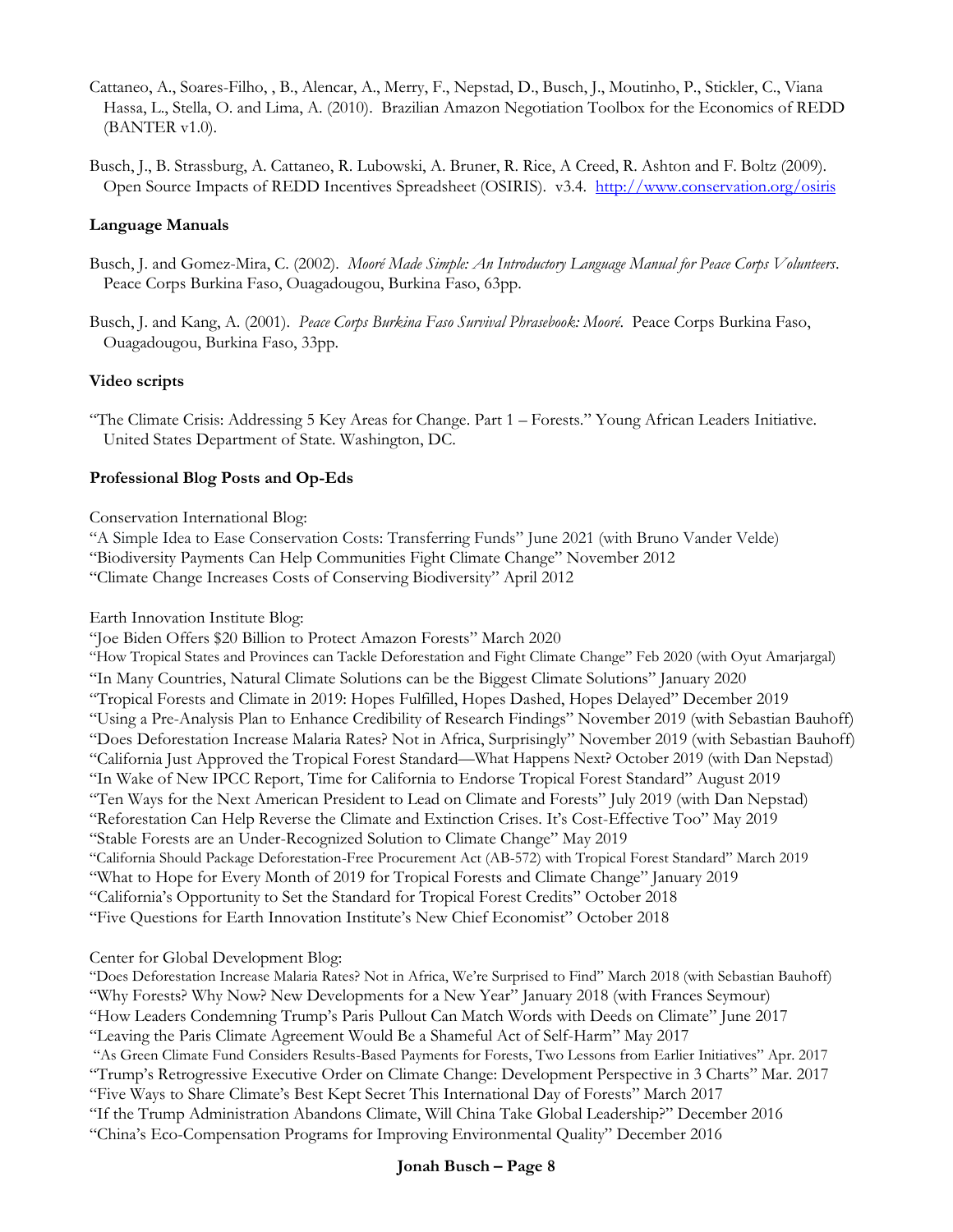Cattaneo, A., Soares-Filho, , B., Alencar, A., Merry, F., Nepstad, D., Busch, J., Moutinho, P., Stickler, C., Viana Hassa, L., Stella, O. and Lima, A. (2010). Brazilian Amazon Negotiation Toolbox for the Economics of REDD (BANTER v1.0).

Busch, J., B. Strassburg, A. Cattaneo, R. Lubowski, A. Bruner, R. Rice, A Creed, R. Ashton and F. Boltz (2009). Open Source Impacts of REDD Incentives Spreadsheet (OSIRIS). v3.4. <http://www.conservation.org/osiris>

#### **Language Manuals**

- Busch, J. and Gomez-Mira, C. (2002). *Mooré Made Simple: An Introductory Language Manual for Peace Corps Volunteers*. Peace Corps Burkina Faso, Ouagadougou, Burkina Faso, 63pp.
- Busch, J. and Kang, A. (2001). *Peace Corps Burkina Faso Survival Phrasebook: Mooré*. Peace Corps Burkina Faso, Ouagadougou, Burkina Faso, 33pp.

#### **Video scripts**

"The Climate Crisis: Addressing 5 Key Areas for Change. Part 1 – Forests." Young African Leaders Initiative. United States Department of State. Washington, DC.

#### **Professional Blog Posts and Op-Eds**

#### Conservation International Blog:

"A Simple Idea to Ease Conservation Costs: Transferring Funds" June 2021 (with Bruno Vander Velde) "Biodiversity Payments Can Help Communities Fight Climate Change" November 2012 "Climate Change Increases Costs of Conserving Biodiversity" April 2012

Earth Innovation Institute Blog:

"Joe Biden Offers \$20 Billion to Protect Amazon Forests" March 2020

"How Tropical States and Provinces can Tackle Deforestation and Fight Climate Change" Feb 2020 (with Oyut Amarjargal) "In Many Countries, Natural Climate Solutions can be the Biggest Climate Solutions" January 2020 "Tropical Forests and Climate in 2019: Hopes Fulfilled, Hopes Dashed, Hopes Delayed" December 2019 "Using a Pre-Analysis Plan to Enhance Credibility of Research Findings" November 2019 (with Sebastian Bauhoff) "Does Deforestation Increase Malaria Rates? Not in Africa, Surprisingly" November 2019 (with Sebastian Bauhoff) "California Just Approved the Tropical Forest Standard—What Happens Next? October 2019 (with Dan Nepstad) "In Wake of New IPCC Report, Time for California to Endorse Tropical Forest Standard" August 2019 "Ten Ways for the Next American President to Lead on Climate and Forests" July 2019 (with Dan Nepstad) "Reforestation Can Help Reverse the Climate and Extinction Crises. It's Cost-Effective Too" May 2019 "Stable Forests are an Under-Recognized Solution to Climate Change" May 2019 "California Should Package Deforestation-Free Procurement Act (AB-572) with Tropical Forest Standard" March 2019 "What to Hope for Every Month of 2019 for Tropical Forests and Climate Change" January 2019 "California's Opportunity to Set the Standard for Tropical Forest Credits" October 2018 "Five Questions for Earth Innovation Institute's New Chief Economist" October 2018

Center for Global Development Blog:

"Does Deforestation Increase Malaria Rates? Not in Africa, We're Surprised to Find" March 2018 (with Sebastian Bauhoff) "Why Forests? Why Now? New Developments for a New Year" January 2018 (with Frances Seymour) "How Leaders Condemning Trump's Paris Pullout Can Match Words with Deeds on Climate" June 2017 "Leaving the Paris Climate Agreement Would Be a Shameful Act of Self-Harm" May 2017 "As Green Climate Fund Considers Results-Based Payments for Forests, Two Lessons from Earlier Initiatives" Apr. 2017 "Trump's Retrogressive Executive Order on Climate Change: Development Perspective in 3 Charts" Mar. 2017 "Five Ways to Share Climate's Best Kept Secret This International Day of Forests" March 2017 "If the Trump Administration Abandons Climate, Will China Take Global Leadership?" December 2016 "China's Eco-Compensation Programs for Improving Environmental Quality" December 2016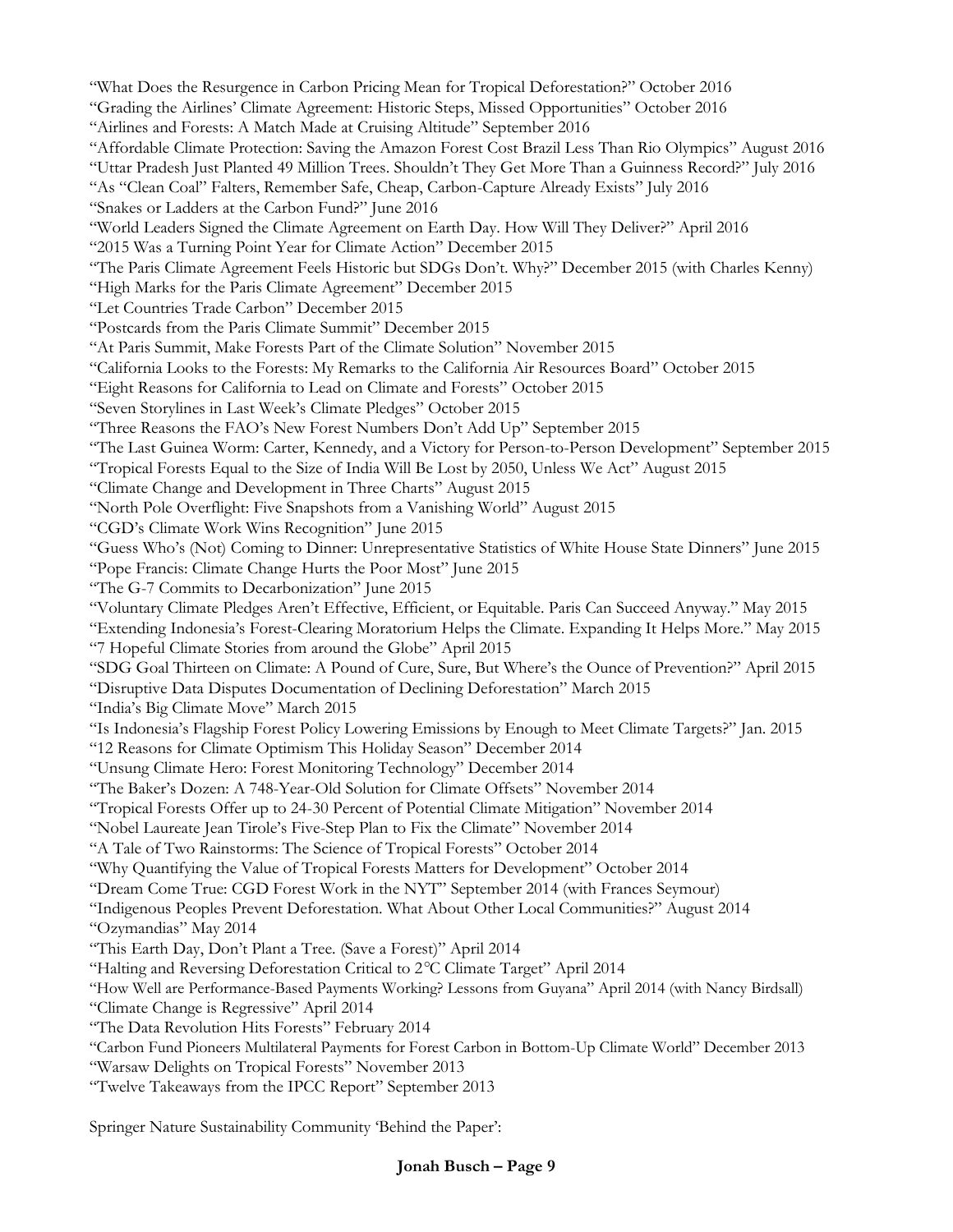"What Does the Resurgence in Carbon Pricing Mean for Tropical Deforestation?" October 2016 "Grading the Airlines' Climate Agreement: Historic Steps, Missed Opportunities" October 2016 "Airlines and Forests: A Match Made at Cruising Altitude" September 2016 "Affordable Climate Protection: Saving the Amazon Forest Cost Brazil Less Than Rio Olympics" August 2016 "Uttar Pradesh Just Planted 49 Million Trees. Shouldn't They Get More Than a Guinness Record?" July 2016 "As "Clean Coal" Falters, Remember Safe, Cheap, Carbon-Capture Already Exists" July 2016 "Snakes or Ladders at the Carbon Fund?" June 2016 "World Leaders Signed the Climate Agreement on Earth Day. How Will They Deliver?" April 2016 "2015 Was a Turning Point Year for Climate Action" December 2015 "The Paris Climate Agreement Feels Historic but SDGs Don't. Why?" December 2015 (with Charles Kenny) "High Marks for the Paris Climate Agreement" December 2015 "Let Countries Trade Carbon" December 2015 "Postcards from the Paris Climate Summit" December 2015 "At Paris Summit, Make Forests Part of the Climate Solution" November 2015 "California Looks to the Forests: My Remarks to the California Air Resources Board" October 2015 "Eight Reasons for California to Lead on Climate and Forests" October 2015 "Seven Storylines in Last Week's Climate Pledges" October 2015 "Three Reasons the FAO's New Forest Numbers Don't Add Up" September 2015 "The Last Guinea Worm: Carter, Kennedy, and a Victory for Person-to-Person Development" September 2015 "Tropical Forests Equal to the Size of India Will Be Lost by 2050, Unless We Act" August 2015 "Climate Change and Development in Three Charts" August 2015 "North Pole Overflight: Five Snapshots from a Vanishing World" August 2015 "CGD's Climate Work Wins Recognition" June 2015 "Guess Who's (Not) Coming to Dinner: Unrepresentative Statistics of White House State Dinners" June 2015 "Pope Francis: Climate Change Hurts the Poor Most" June 2015 "The G-7 Commits to Decarbonization" June 2015 "Voluntary Climate Pledges Aren't Effective, Efficient, or Equitable. Paris Can Succeed Anyway." May 2015 "Extending Indonesia's Forest-Clearing Moratorium Helps the Climate. Expanding It Helps More." May 2015 "7 Hopeful Climate Stories from around the Globe" April 2015 "SDG Goal Thirteen on Climate: A Pound of Cure, Sure, But Where's the Ounce of Prevention?" April 2015 "Disruptive Data Disputes Documentation of Declining Deforestation" March 2015 "India's Big Climate Move" March 2015 "Is Indonesia's Flagship Forest Policy Lowering Emissions by Enough to Meet Climate Targets?" Jan. 2015 "12 Reasons for Climate Optimism This Holiday Season" December 2014 "Unsung Climate Hero: Forest Monitoring Technology" December 2014 "The Baker's Dozen: A 748-Year-Old Solution for Climate Offsets" November 2014 "Tropical Forests Offer up to 24-30 Percent of Potential Climate Mitigation" November 2014 "Nobel Laureate Jean Tirole's Five-Step Plan to Fix the Climate" November 2014 "A Tale of Two Rainstorms: The Science of Tropical Forests" October 2014 "Why Quantifying the Value of Tropical Forests Matters for Development" October 2014 "Dream Come True: CGD Forest Work in the NYT" September 2014 (with Frances Seymour) "Indigenous Peoples Prevent Deforestation. What About Other Local Communities?" August 2014 "Ozymandias" May 2014 "This Earth Day, Don't Plant a Tree. (Save a Forest)" April 2014 "Halting and Reversing Deforestation Critical to 2*°*C Climate Target" April 2014 "How Well are Performance-Based Payments Working? Lessons from Guyana" April 2014 (with Nancy Birdsall) "Climate Change is Regressive" April 2014 "The Data Revolution Hits Forests" February 2014 "Carbon Fund Pioneers Multilateral Payments for Forest Carbon in Bottom-Up Climate World" December 2013 "Warsaw Delights on Tropical Forests" November 2013 "Twelve Takeaways from the IPCC Report" September 2013

Springer Nature Sustainability Community 'Behind the Paper':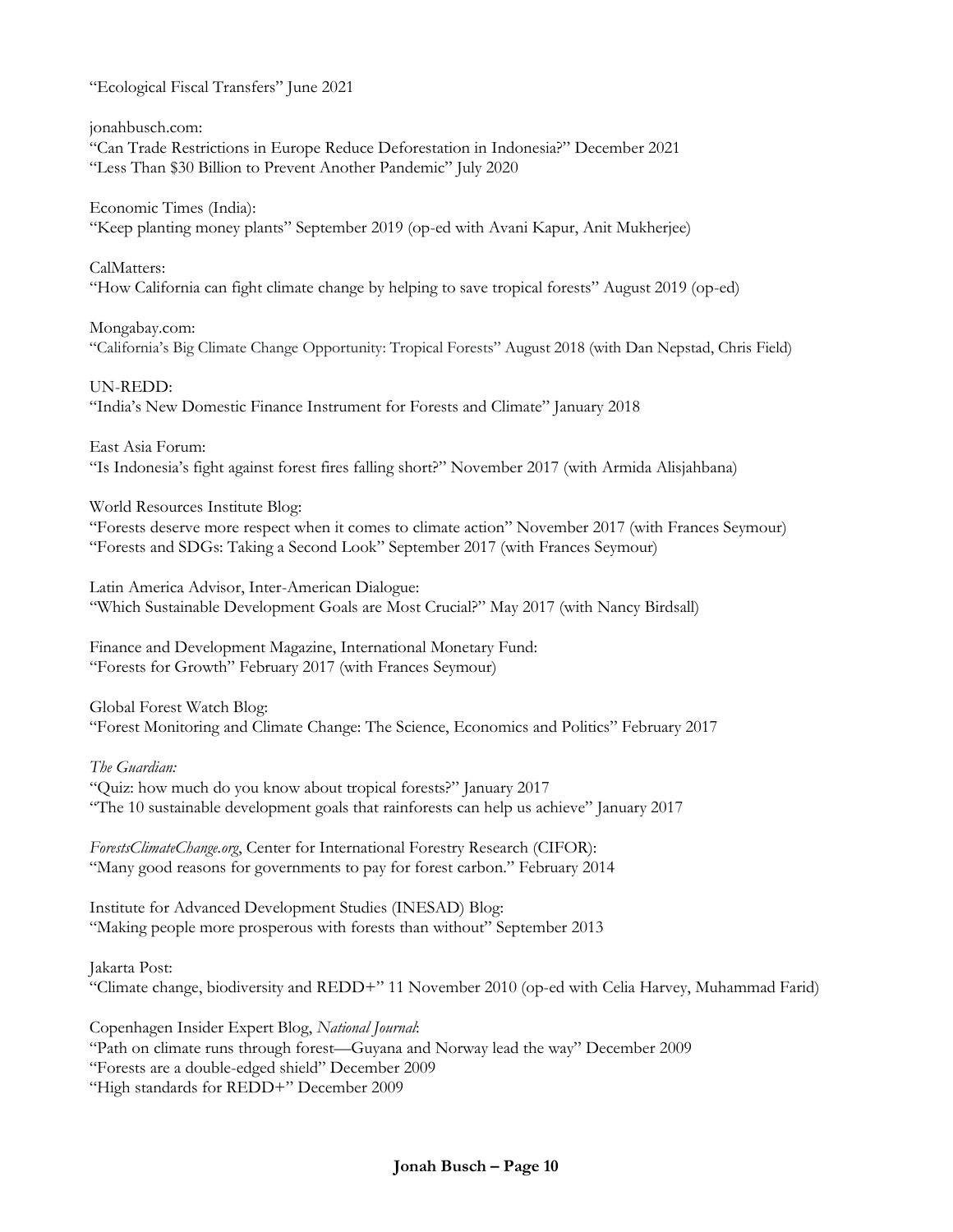"Ecological Fiscal Transfers" June 2021

jonahbusch.com:

"Can Trade Restrictions in Europe Reduce Deforestation in Indonesia?" December 2021 "Less Than \$30 Billion to Prevent Another Pandemic" July 2020

Economic Times (India): "Keep planting money plants" September 2019 (op-ed with Avani Kapur, Anit Mukherjee)

CalMatters: "How California can fight climate change by helping to save tropical forests" August 2019 (op-ed)

Mongabay.com: "California's Big Climate Change Opportunity: Tropical Forests" August 2018 (with Dan Nepstad, Chris Field)

UN-REDD: "India's New Domestic Finance Instrument for Forests and Climate" January 2018

East Asia Forum: "Is Indonesia's fight against forest fires falling short?" November 2017 (with Armida Alisjahbana)

World Resources Institute Blog:

"Forests deserve more respect when it comes to climate action" November 2017 (with Frances Seymour) "Forests and SDGs: Taking a Second Look" September 2017 (with Frances Seymour)

Latin America Advisor, Inter-American Dialogue: "Which Sustainable Development Goals are Most Crucial?" May 2017 (with Nancy Birdsall)

Finance and Development Magazine, International Monetary Fund: "Forests for Growth" February 2017 (with Frances Seymour)

Global Forest Watch Blog: "Forest Monitoring and Climate Change: The Science, Economics and Politics" February 2017

*The Guardian:*

"Quiz: how much do you know about tropical forests?" January 2017 "The 10 sustainable development goals that rainforests can help us achieve" January 2017

*ForestsClimateChange.org*, Center for International Forestry Research (CIFOR): "Many good reasons for governments to pay for forest carbon." February 2014

Institute for Advanced Development Studies (INESAD) Blog: "Making people more prosperous with forests than without" September 2013

Jakarta Post: "Climate change, biodiversity and REDD+" 11 November 2010 (op-ed with Celia Harvey, Muhammad Farid)

Copenhagen Insider Expert Blog, *National Journal*: "Path on climate runs through forest—Guyana and Norway lead the way" December 2009 "Forests are a double-edged shield" December 2009 "High standards for REDD+" December 2009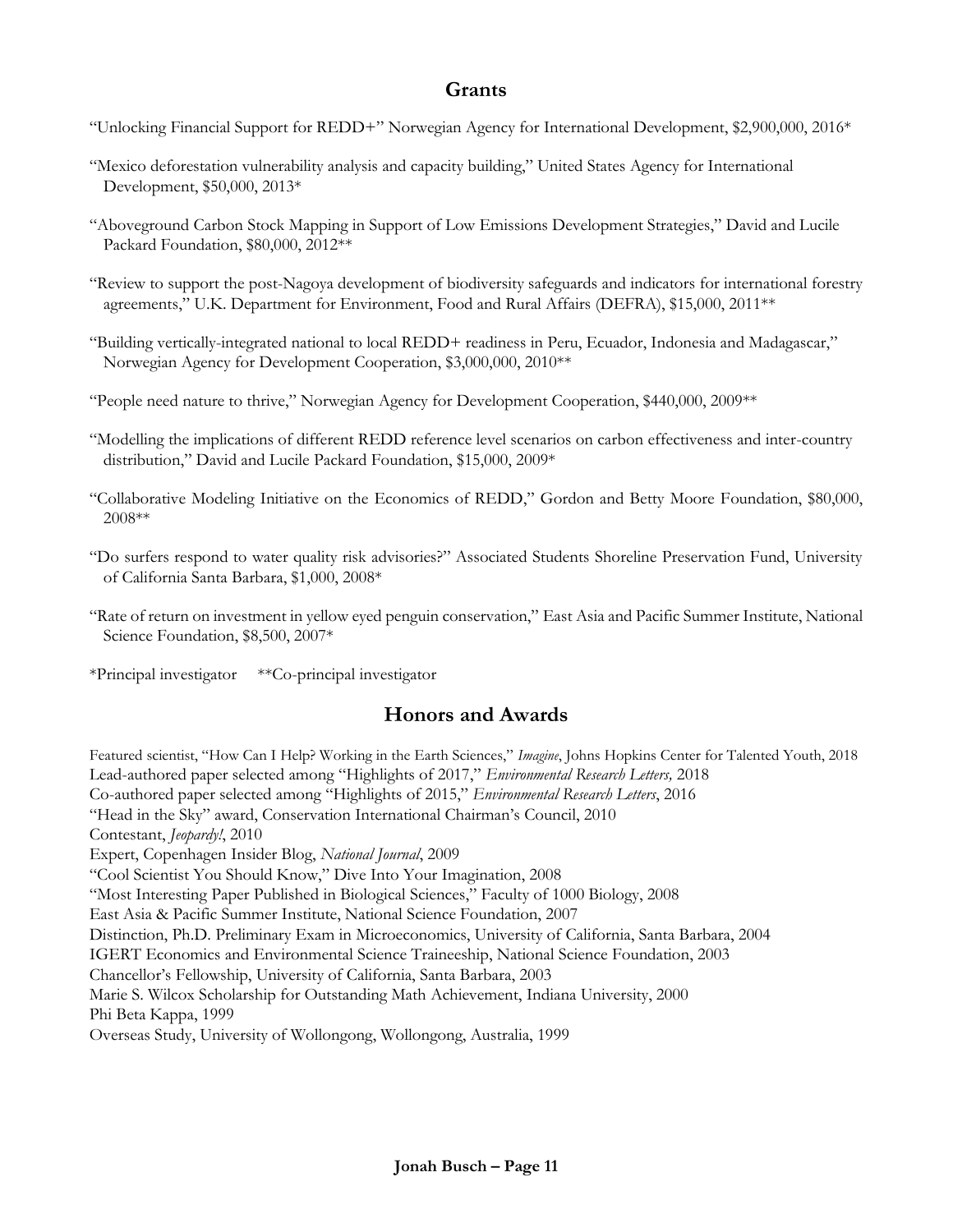### **Grants**

- "Unlocking Financial Support for REDD+" Norwegian Agency for International Development, \$2,900,000, 2016\*
- "Mexico deforestation vulnerability analysis and capacity building," United States Agency for International Development, \$50,000, 2013\*
- "Aboveground Carbon Stock Mapping in Support of Low Emissions Development Strategies," David and Lucile Packard Foundation, \$80,000, 2012\*\*
- "Review to support the post-Nagoya development of biodiversity safeguards and indicators for international forestry agreements," U.K. Department for Environment, Food and Rural Affairs (DEFRA), \$15,000, 2011\*\*
- "Building vertically-integrated national to local REDD+ readiness in Peru, Ecuador, Indonesia and Madagascar," Norwegian Agency for Development Cooperation, \$3,000,000, 2010\*\*
- "People need nature to thrive," Norwegian Agency for Development Cooperation, \$440,000, 2009\*\*
- "Modelling the implications of different REDD reference level scenarios on carbon effectiveness and inter-country distribution," David and Lucile Packard Foundation, \$15,000, 2009\*
- "Collaborative Modeling Initiative on the Economics of REDD," Gordon and Betty Moore Foundation, \$80,000, 2008\*\*
- "Do surfers respond to water quality risk advisories?" Associated Students Shoreline Preservation Fund, University of California Santa Barbara, \$1,000, 2008\*
- "Rate of return on investment in yellow eyed penguin conservation," East Asia and Pacific Summer Institute, National Science Foundation, \$8,500, 2007\*
- \*Principal investigator \*\*Co-principal investigator

### **Honors and Awards**

Featured scientist, "How Can I Help? Working in the Earth Sciences," *Imagine*, Johns Hopkins Center for Talented Youth, 2018 Lead-authored paper selected among "Highlights of 2017," *Environmental Research Letters,* 2018 Co-authored paper selected among "Highlights of 2015," *Environmental Research Letters*, 2016 "Head in the Sky" award, Conservation International Chairman's Council, 2010 Contestant, *Jeopardy!*, 2010 Expert, Copenhagen Insider Blog, *National Journal*, 2009 "Cool Scientist You Should Know," Dive Into Your Imagination, 2008 "Most Interesting Paper Published in Biological Sciences," Faculty of 1000 Biology, 2008 East Asia & Pacific Summer Institute, National Science Foundation, 2007 Distinction, Ph.D. Preliminary Exam in Microeconomics, University of California, Santa Barbara, 2004 IGERT Economics and Environmental Science Traineeship, National Science Foundation, 2003 Chancellor's Fellowship, University of California, Santa Barbara, 2003 Marie S. Wilcox Scholarship for Outstanding Math Achievement, Indiana University, 2000 Phi Beta Kappa, 1999 Overseas Study, University of Wollongong, Wollongong, Australia, 1999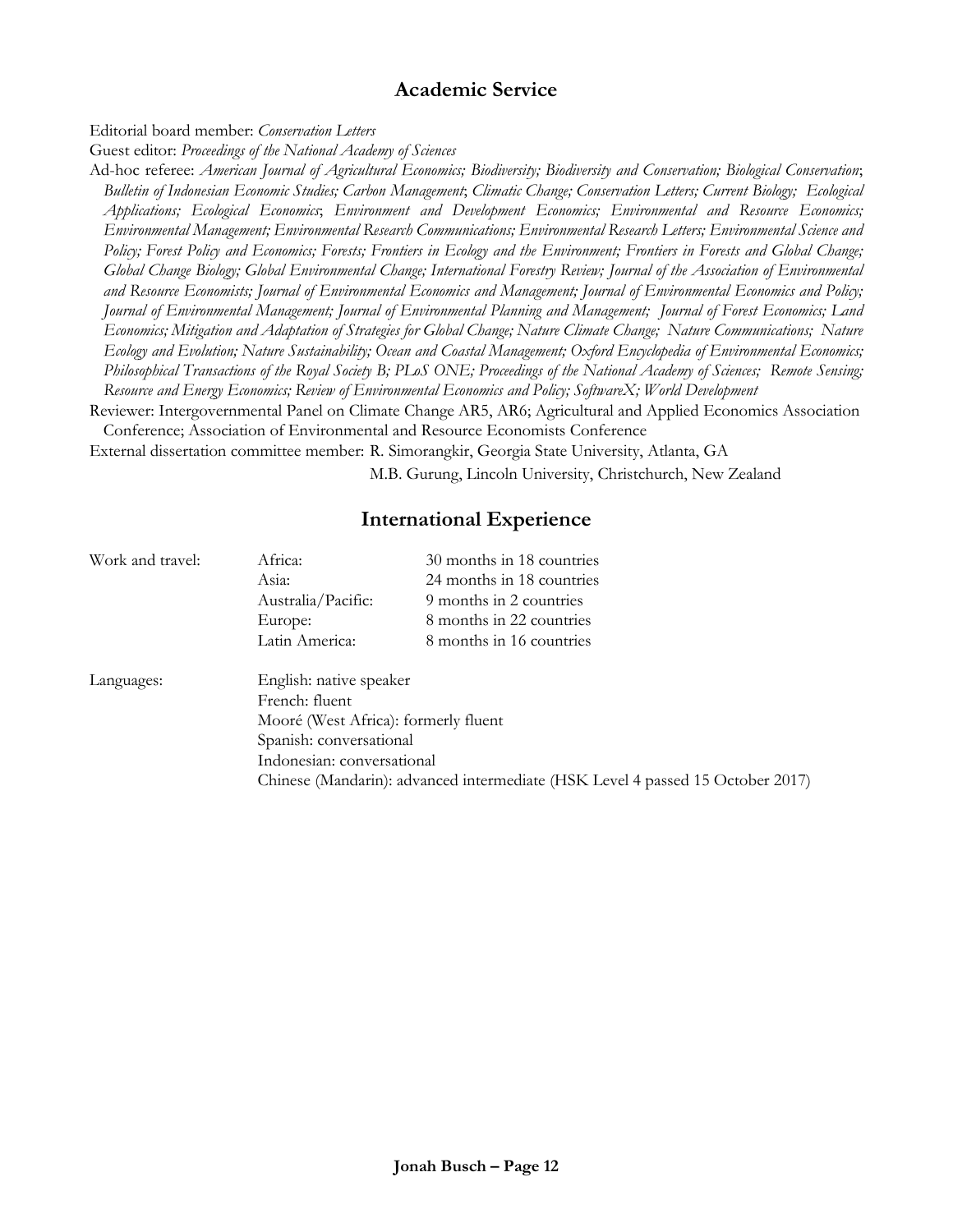## **Academic Service**

Editorial board member: *Conservation Letters*

Guest editor: *Proceedings of the National Academy of Sciences*

Ad-hoc referee: *American Journal of Agricultural Economics; Biodiversity; Biodiversity and Conservation; Biological Conservation*; *Bulletin of Indonesian Economic Studies; Carbon Management*; *Climatic Change; Conservation Letters; Current Biology; Ecological Applications; Ecological Economics*; *Environment and Development Economics; Environmental and Resource Economics; Environmental Management; Environmental Research Communications; Environmental Research Letters; Environmental Science and Policy; Forest Policy and Economics; Forests; Frontiers in Ecology and the Environment; Frontiers in Forests and Global Change; Global Change Biology; Global Environmental Change; International Forestry Review; Journal of the Association of Environmental and Resource Economists; Journal of Environmental Economics and Management; Journal of Environmental Economics and Policy; Journal of Environmental Management; Journal of Environmental Planning and Management; Journal of Forest Economics; Land Economics; Mitigation and Adaptation of Strategies for Global Change; Nature Climate Change; Nature Communications; Nature Ecology and Evolution; Nature Sustainability; Ocean and Coastal Management; Oxford Encyclopedia of Environmental Economics; Philosophical Transactions of the Royal Society B; PLoS ONE; Proceedings of the National Academy of Sciences; Remote Sensing; Resource and Energy Economics; Review of Environmental Economics and Policy; SoftwareX; World Development*

Reviewer: Intergovernmental Panel on Climate Change AR5, AR6; Agricultural and Applied Economics Association Conference; Association of Environmental and Resource Economists Conference

External dissertation committee member: R. Simorangkir, Georgia State University, Atlanta, GA

M.B. Gurung, Lincoln University, Christchurch, New Zealand

#### **International Experience**

| Work and travel: | Africa:                                                                        | 30 months in 18 countries |
|------------------|--------------------------------------------------------------------------------|---------------------------|
|                  | Asia:                                                                          | 24 months in 18 countries |
|                  | Australia/Pacific:                                                             | 9 months in 2 countries   |
|                  | Europe:                                                                        | 8 months in 22 countries  |
|                  | Latin America:                                                                 | 8 months in 16 countries  |
|                  | English: native speaker                                                        |                           |
| Languages:       |                                                                                |                           |
|                  | French: fluent                                                                 |                           |
|                  | Mooré (West Africa): formerly fluent                                           |                           |
|                  | Spanish: conversational                                                        |                           |
|                  | Indonesian: conversational                                                     |                           |
|                  | Chinese (Mandarin): advanced intermediate (HSK Level 4 passed 15 October 2017) |                           |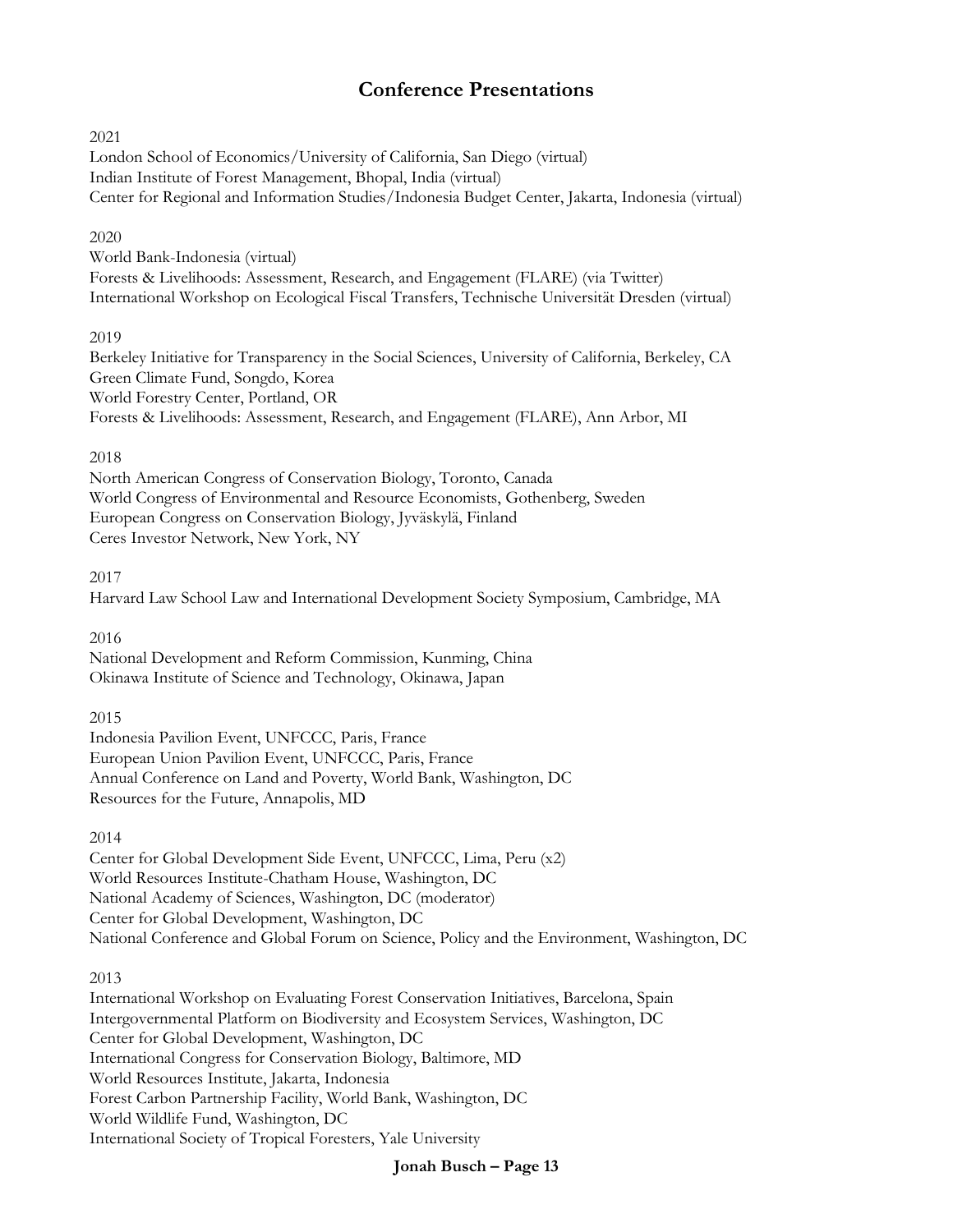## **Conference Presentations**

#### 2021

London School of Economics/University of California, San Diego (virtual) Indian Institute of Forest Management, Bhopal, India (virtual) Center for Regional and Information Studies/Indonesia Budget Center, Jakarta, Indonesia (virtual)

#### 2020

World Bank-Indonesia (virtual) Forests & Livelihoods: Assessment, Research, and Engagement (FLARE) (via Twitter) International Workshop on Ecological Fiscal Transfers, Technische Universität Dresden (virtual)

#### 2019

Berkeley Initiative for Transparency in the Social Sciences, University of California, Berkeley, CA Green Climate Fund, Songdo, Korea World Forestry Center, Portland, OR Forests & Livelihoods: Assessment, Research, and Engagement (FLARE), Ann Arbor, MI

#### 2018

North American Congress of Conservation Biology, Toronto, Canada World Congress of Environmental and Resource Economists, Gothenberg, Sweden European Congress on Conservation Biology, Jyväskylä, Finland Ceres Investor Network, New York, NY

#### 2017

Harvard Law School Law and International Development Society Symposium, Cambridge, MA

#### 2016

National Development and Reform Commission, Kunming, China Okinawa Institute of Science and Technology, Okinawa, Japan

#### 2015

Indonesia Pavilion Event, UNFCCC, Paris, France European Union Pavilion Event, UNFCCC, Paris, France Annual Conference on Land and Poverty, World Bank, Washington, DC Resources for the Future, Annapolis, MD

#### 2014

Center for Global Development Side Event, UNFCCC, Lima, Peru (x2) World Resources Institute-Chatham House, Washington, DC National Academy of Sciences, Washington, DC (moderator) Center for Global Development, Washington, DC National Conference and Global Forum on Science, Policy and the Environment, Washington, DC

#### 2013

International Workshop on Evaluating Forest Conservation Initiatives, Barcelona, Spain Intergovernmental Platform on Biodiversity and Ecosystem Services, Washington, DC Center for Global Development, Washington, DC International Congress for Conservation Biology, Baltimore, MD World Resources Institute, Jakarta, Indonesia Forest Carbon Partnership Facility, World Bank, Washington, DC World Wildlife Fund, Washington, DC International Society of Tropical Foresters, Yale University

#### **Jonah Busch – Page 13**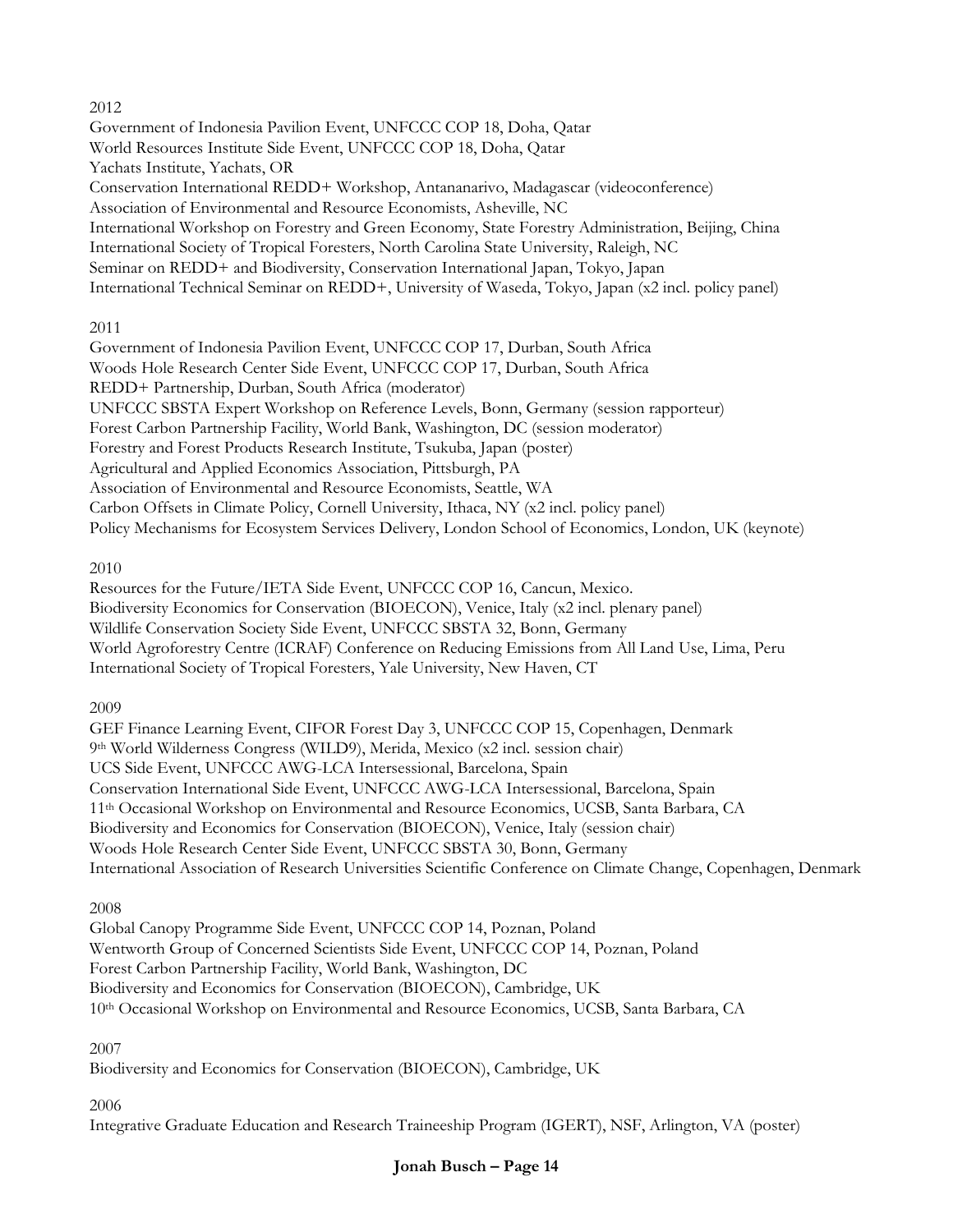#### 2012

Government of Indonesia Pavilion Event, UNFCCC COP 18, Doha, Qatar World Resources Institute Side Event, UNFCCC COP 18, Doha, Qatar Yachats Institute, Yachats, OR Conservation International REDD+ Workshop, Antananarivo, Madagascar (videoconference) Association of Environmental and Resource Economists, Asheville, NC International Workshop on Forestry and Green Economy, State Forestry Administration, Beijing, China International Society of Tropical Foresters, North Carolina State University, Raleigh, NC Seminar on REDD+ and Biodiversity, Conservation International Japan, Tokyo, Japan International Technical Seminar on REDD+, University of Waseda, Tokyo, Japan (x2 incl. policy panel)

#### 2011

Government of Indonesia Pavilion Event, UNFCCC COP 17, Durban, South Africa Woods Hole Research Center Side Event, UNFCCC COP 17, Durban, South Africa REDD+ Partnership, Durban, South Africa (moderator) UNFCCC SBSTA Expert Workshop on Reference Levels, Bonn, Germany (session rapporteur) Forest Carbon Partnership Facility, World Bank, Washington, DC (session moderator) Forestry and Forest Products Research Institute, Tsukuba, Japan (poster) Agricultural and Applied Economics Association, Pittsburgh, PA Association of Environmental and Resource Economists, Seattle, WA Carbon Offsets in Climate Policy, Cornell University, Ithaca, NY (x2 incl. policy panel) Policy Mechanisms for Ecosystem Services Delivery, London School of Economics, London, UK (keynote)

2010

Resources for the Future/IETA Side Event, UNFCCC COP 16, Cancun, Mexico. Biodiversity Economics for Conservation (BIOECON), Venice, Italy (x2 incl. plenary panel) Wildlife Conservation Society Side Event, UNFCCC SBSTA 32, Bonn, Germany World Agroforestry Centre (ICRAF) Conference on Reducing Emissions from All Land Use, Lima, Peru International Society of Tropical Foresters, Yale University, New Haven, CT

#### 2009

GEF Finance Learning Event, CIFOR Forest Day 3, UNFCCC COP 15, Copenhagen, Denmark 9th World Wilderness Congress (WILD9), Merida, Mexico (x2 incl. session chair) UCS Side Event, UNFCCC AWG-LCA Intersessional, Barcelona, Spain Conservation International Side Event, UNFCCC AWG-LCA Intersessional, Barcelona, Spain 11th Occasional Workshop on Environmental and Resource Economics, UCSB, Santa Barbara, CA Biodiversity and Economics for Conservation (BIOECON), Venice, Italy (session chair) Woods Hole Research Center Side Event, UNFCCC SBSTA 30, Bonn, Germany International Association of Research Universities Scientific Conference on Climate Change, Copenhagen, Denmark

2008

Global Canopy Programme Side Event, UNFCCC COP 14, Poznan, Poland Wentworth Group of Concerned Scientists Side Event, UNFCCC COP 14, Poznan, Poland Forest Carbon Partnership Facility, World Bank, Washington, DC Biodiversity and Economics for Conservation (BIOECON), Cambridge, UK 10th Occasional Workshop on Environmental and Resource Economics, UCSB, Santa Barbara, CA

2007

Biodiversity and Economics for Conservation (BIOECON), Cambridge, UK

2006

Integrative Graduate Education and Research Traineeship Program (IGERT), NSF, Arlington, VA (poster)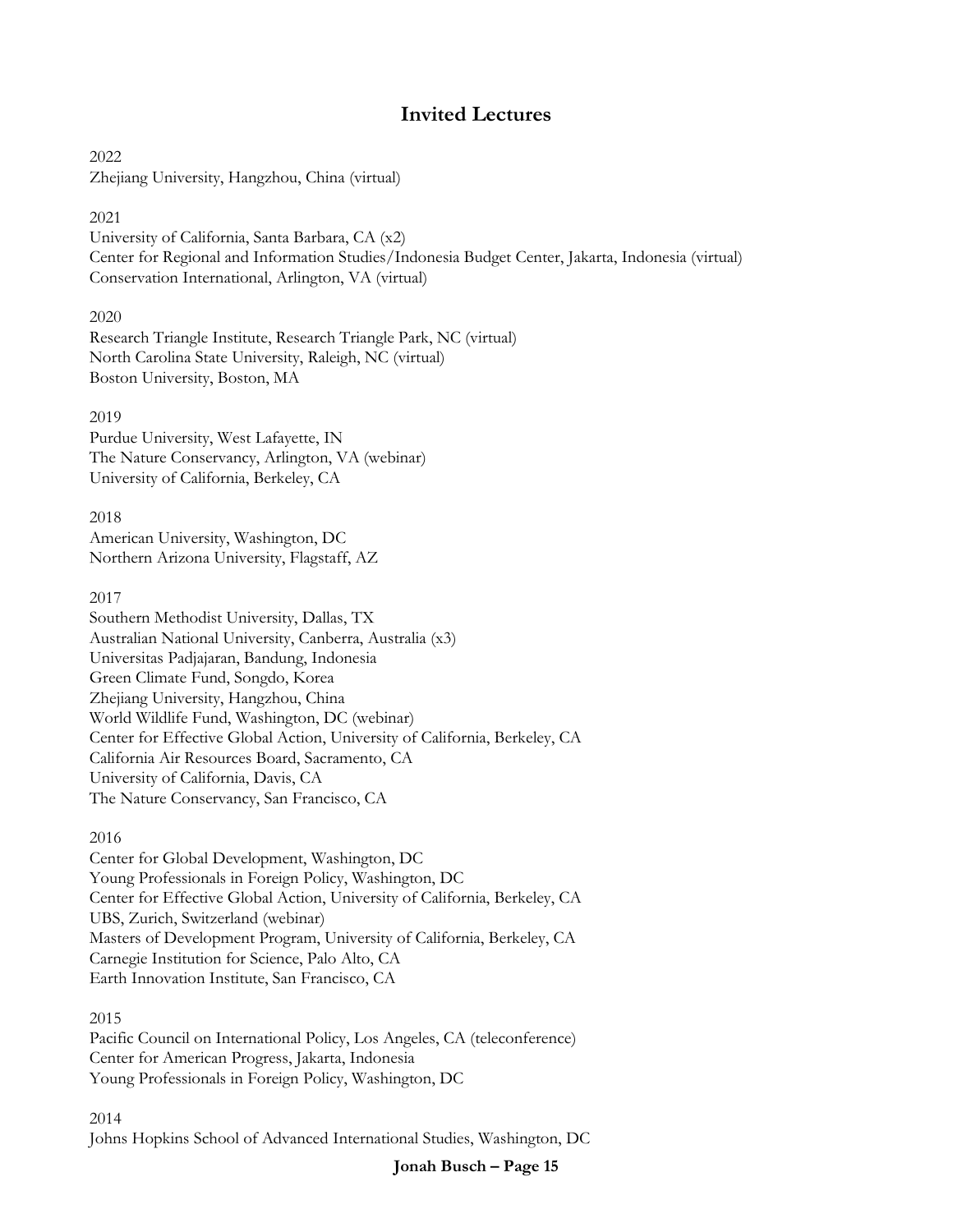## **Invited Lectures**

2022 Zhejiang University, Hangzhou, China (virtual)

#### 2021

University of California, Santa Barbara, CA (x2) Center for Regional and Information Studies/Indonesia Budget Center, Jakarta, Indonesia (virtual) Conservation International, Arlington, VA (virtual)

2020

Research Triangle Institute, Research Triangle Park, NC (virtual) North Carolina State University, Raleigh, NC (virtual) Boston University, Boston, MA

2019

Purdue University, West Lafayette, IN The Nature Conservancy, Arlington, VA (webinar) University of California, Berkeley, CA

2018 American University, Washington, DC Northern Arizona University, Flagstaff, AZ

#### 2017

Southern Methodist University, Dallas, TX Australian National University, Canberra, Australia (x3) Universitas Padjajaran, Bandung, Indonesia Green Climate Fund, Songdo, Korea Zhejiang University, Hangzhou, China World Wildlife Fund, Washington, DC (webinar) Center for Effective Global Action, University of California, Berkeley, CA California Air Resources Board, Sacramento, CA University of California, Davis, CA The Nature Conservancy, San Francisco, CA

#### 2016

Center for Global Development, Washington, DC Young Professionals in Foreign Policy, Washington, DC Center for Effective Global Action, University of California, Berkeley, CA UBS, Zurich, Switzerland (webinar) Masters of Development Program, University of California, Berkeley, CA Carnegie Institution for Science, Palo Alto, CA Earth Innovation Institute, San Francisco, CA

#### 2015

Pacific Council on International Policy, Los Angeles, CA (teleconference) Center for American Progress, Jakarta, Indonesia Young Professionals in Foreign Policy, Washington, DC

2014 Johns Hopkins School of Advanced International Studies, Washington, DC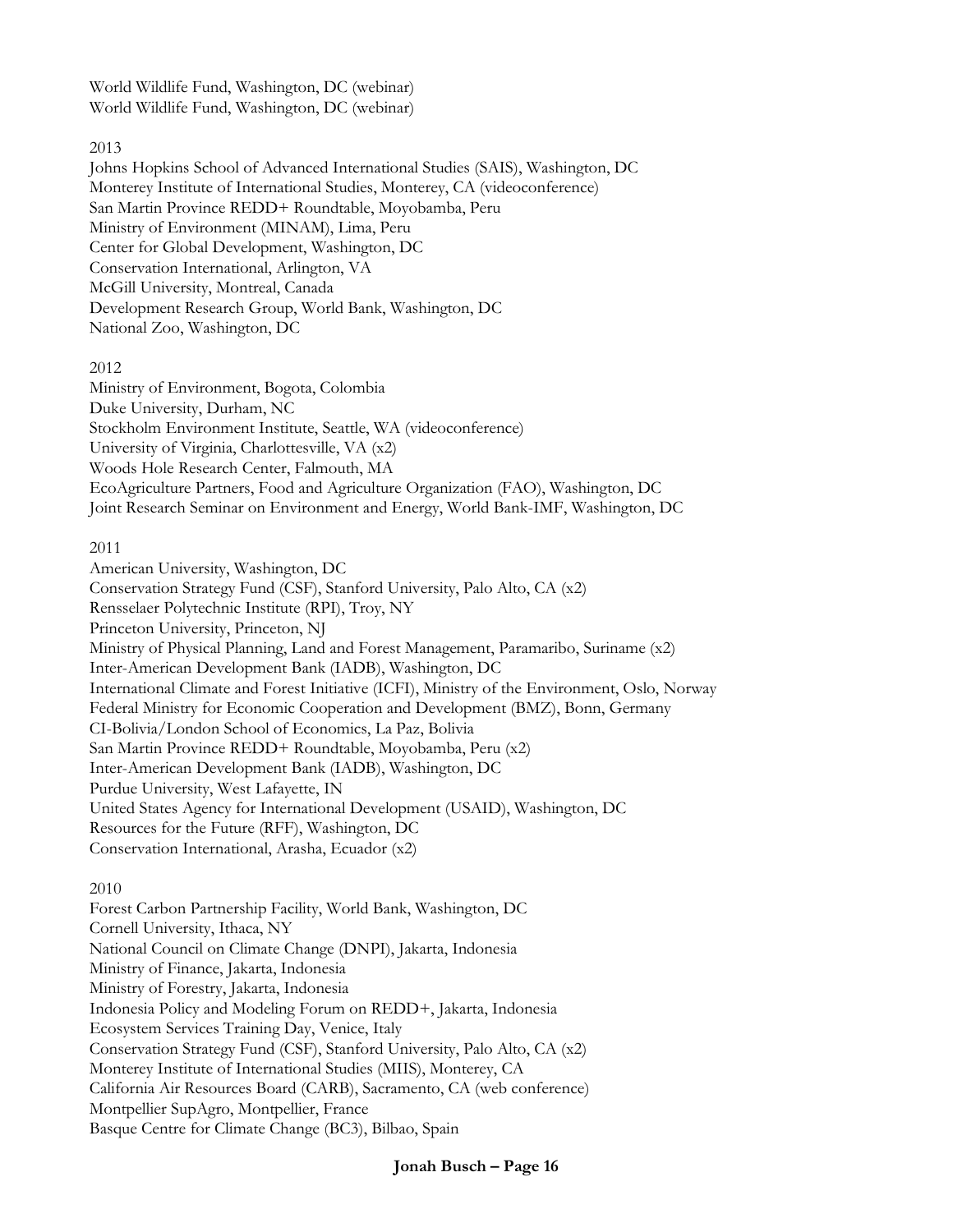World Wildlife Fund, Washington, DC (webinar) World Wildlife Fund, Washington, DC (webinar)

#### 2013

Johns Hopkins School of Advanced International Studies (SAIS), Washington, DC Monterey Institute of International Studies, Monterey, CA (videoconference) San Martin Province REDD+ Roundtable, Moyobamba, Peru Ministry of Environment (MINAM), Lima, Peru Center for Global Development, Washington, DC Conservation International, Arlington, VA McGill University, Montreal, Canada Development Research Group, World Bank, Washington, DC National Zoo, Washington, DC

#### 2012

Ministry of Environment, Bogota, Colombia Duke University, Durham, NC Stockholm Environment Institute, Seattle, WA (videoconference) University of Virginia, Charlottesville, VA (x2) Woods Hole Research Center, Falmouth, MA EcoAgriculture Partners, Food and Agriculture Organization (FAO), Washington, DC Joint Research Seminar on Environment and Energy, World Bank-IMF, Washington, DC

#### 2011

American University, Washington, DC Conservation Strategy Fund (CSF), Stanford University, Palo Alto, CA (x2) Rensselaer Polytechnic Institute (RPI), Troy, NY Princeton University, Princeton, NJ Ministry of Physical Planning, Land and Forest Management, Paramaribo, Suriname (x2) Inter-American Development Bank (IADB), Washington, DC International Climate and Forest Initiative (ICFI), Ministry of the Environment, Oslo, Norway Federal Ministry for Economic Cooperation and Development (BMZ), Bonn, Germany CI-Bolivia/London School of Economics, La Paz, Bolivia San Martin Province REDD+ Roundtable, Moyobamba, Peru (x2) Inter-American Development Bank (IADB), Washington, DC Purdue University, West Lafayette, IN United States Agency for International Development (USAID), Washington, DC Resources for the Future (RFF), Washington, DC Conservation International, Arasha, Ecuador (x2)

#### 2010

Forest Carbon Partnership Facility, World Bank, Washington, DC Cornell University, Ithaca, NY National Council on Climate Change (DNPI), Jakarta, Indonesia Ministry of Finance, Jakarta, Indonesia Ministry of Forestry, Jakarta, Indonesia Indonesia Policy and Modeling Forum on REDD+, Jakarta, Indonesia Ecosystem Services Training Day, Venice, Italy Conservation Strategy Fund (CSF), Stanford University, Palo Alto, CA (x2) Monterey Institute of International Studies (MIIS), Monterey, CA California Air Resources Board (CARB), Sacramento, CA (web conference) Montpellier SupAgro, Montpellier, France Basque Centre for Climate Change (BC3), Bilbao, Spain

**Jonah Busch – Page 16**